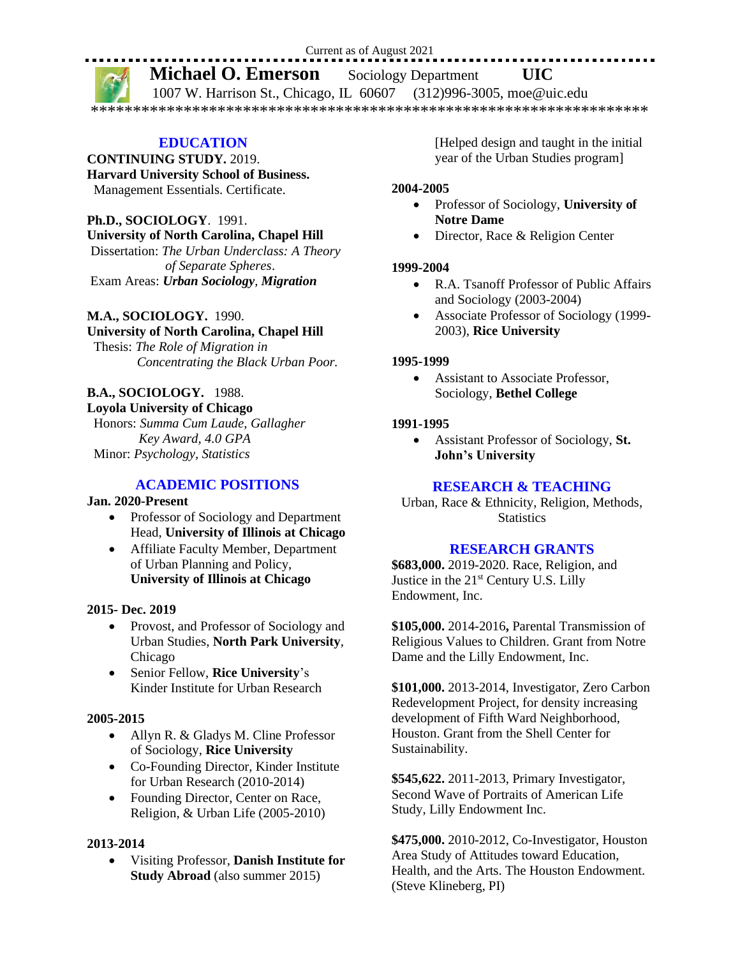#### Current as of August 2021

# **Michael O. Emerson** Sociology Department **UIC**

1007 W. Harrison St., Chicago, IL 60607 (312)996-3005, moe@uic.edu \*\*\*\*\*\*\*\*\*\*\*\*\*\*\*\*\*\*\*\*\*\*\*\*\*\*\*\*\*\*\*\*\*\*\*\*\*\*\*\*\*\*\*\*\*\*\*\*\*\*\*\*\*\*\*\*\*\*\*\*\*\*\*\*\*\*

#### **EDUCATION**

**CONTINUING STUDY.** 2019.

**Harvard University School of Business.**

Management Essentials. Certificate.

# **Ph.D., SOCIOLOGY**. 1991.

**University of North Carolina, Chapel Hill** 

Dissertation: *The Urban Underclass: A Theory of Separate Spheres*. Exam Areas: *Urban Sociology, Migration*

## **M.A., SOCIOLOGY.** 1990.

#### **University of North Carolina, Chapel Hill**

 Thesis: *The Role of Migration in Concentrating the Black Urban Poor.* 

# **B.A., SOCIOLOGY.** 1988.

## **Loyola University of Chicago**

 Honors: *Summa Cum Laude, Gallagher Key Award, 4.0 GPA* Minor: *Psychology, Statistics*

# **ACADEMIC POSITIONS**

#### **Jan. 2020-Present**

- Professor of Sociology and Department Head, **University of Illinois at Chicago**
- Affiliate Faculty Member, Department of Urban Planning and Policy, **University of Illinois at Chicago**

#### **2015- Dec. 2019**

- Provost, and Professor of Sociology and Urban Studies, **North Park University**, Chicago
- Senior Fellow, **Rice University**'s Kinder Institute for Urban Research

#### **2005-2015**

- Allyn R. & Gladys M. Cline Professor of Sociology, **Rice University**
- Co-Founding Director, Kinder Institute for Urban Research (2010-2014)
- Founding Director, Center on Race, Religion, & Urban Life (2005-2010)

#### **2013-2014**

• Visiting Professor, **Danish Institute for Study Abroad** (also summer 2015)

[Helped design and taught in the initial year of the Urban Studies program]

#### **2004-2005**

- Professor of Sociology, **University of Notre Dame**
- Director, Race & Religion Center

#### **1999-2004**

- R.A. Tsanoff Professor of Public Affairs and Sociology (2003-2004)
- Associate Professor of Sociology (1999- 2003), **Rice University**

#### **1995-1999**

• Assistant to Associate Professor, Sociology, **Bethel College**

#### **1991-1995**

• Assistant Professor of Sociology, **St. John's University**

#### **RESEARCH & TEACHING**

Urban, Race & Ethnicity, Religion, Methods, **Statistics** 

#### **RESEARCH GRANTS**

**\$683,000.** 2019-2020. Race, Religion, and Justice in the 21st Century U.S. Lilly Endowment, Inc.

**\$105,000.** 2014-2016**,** Parental Transmission of Religious Values to Children. Grant from Notre Dame and the Lilly Endowment, Inc.

**\$101,000.** 2013-2014, Investigator, Zero Carbon Redevelopment Project, for density increasing development of Fifth Ward Neighborhood, Houston. Grant from the Shell Center for Sustainability.

**\$545,622.** 2011-2013, Primary Investigator, Second Wave of Portraits of American Life Study, Lilly Endowment Inc.

**\$475,000.** 2010-2012, Co-Investigator, Houston Area Study of Attitudes toward Education, Health, and the Arts. The Houston Endowment. (Steve Klineberg, PI)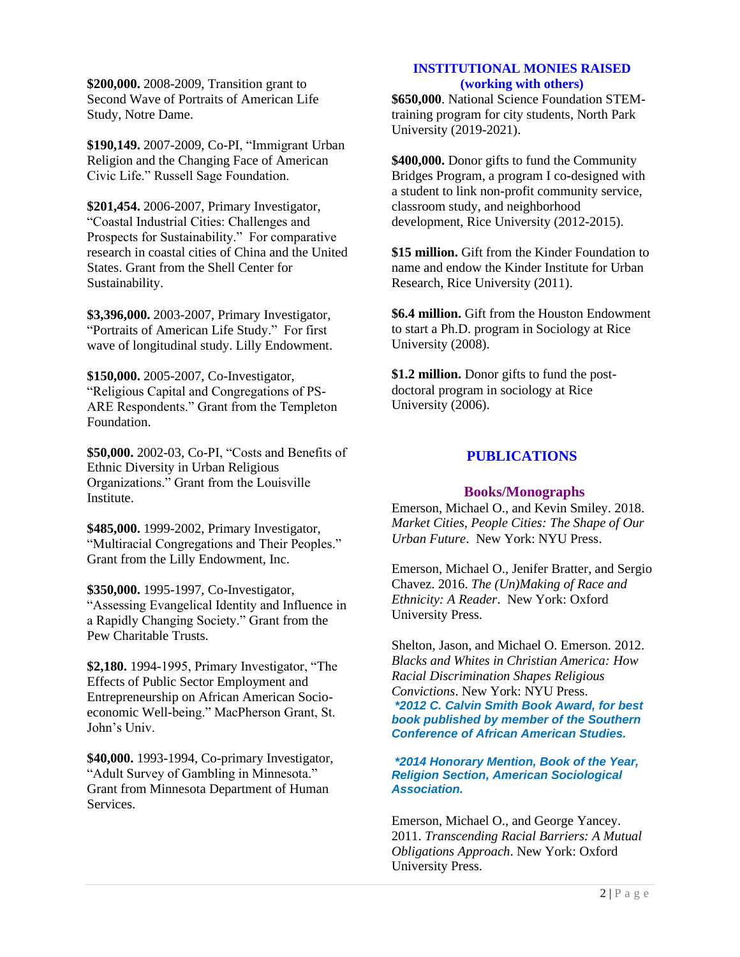**\$200,000.** 2008-2009, Transition grant to Second Wave of Portraits of American Life Study, Notre Dame.

**\$190,149.** 2007-2009, Co-PI, "Immigrant Urban Religion and the Changing Face of American Civic Life." Russell Sage Foundation.

**\$201,454.** 2006-2007, Primary Investigator, "Coastal Industrial Cities: Challenges and Prospects for Sustainability." For comparative research in coastal cities of China and the United States. Grant from the Shell Center for Sustainability.

**\$3,396,000.** 2003-2007, Primary Investigator, "Portraits of American Life Study." For first wave of longitudinal study. Lilly Endowment.

**\$150,000.** 2005-2007, Co-Investigator, "Religious Capital and Congregations of PS-ARE Respondents." Grant from the Templeton Foundation.

**\$50,000.** 2002-03, Co-PI, "Costs and Benefits of Ethnic Diversity in Urban Religious Organizations." Grant from the Louisville Institute.

**\$485,000.** 1999-2002, Primary Investigator, "Multiracial Congregations and Their Peoples." Grant from the Lilly Endowment, Inc.

**\$350,000.** 1995-1997, Co-Investigator, "Assessing Evangelical Identity and Influence in a Rapidly Changing Society." Grant from the Pew Charitable Trusts.

**\$2,180.** 1994-1995, Primary Investigator, "The Effects of Public Sector Employment and Entrepreneurship on African American Socioeconomic Well-being." MacPherson Grant, St. John's Univ.

**\$40,000.** 1993-1994, Co-primary Investigator, "Adult Survey of Gambling in Minnesota." Grant from Minnesota Department of Human Services.

## **INSTITUTIONAL MONIES RAISED (working with others)**

**\$650,000**. National Science Foundation STEMtraining program for city students, North Park University (2019-2021).

**\$400,000.** Donor gifts to fund the Community Bridges Program, a program I co**-**designed with a student to link non-profit community service, classroom study, and neighborhood development, Rice University (2012-2015).

**\$15 million.** Gift from the Kinder Foundation to name and endow the Kinder Institute for Urban Research, Rice University (2011).

**\$6.4 million.** Gift from the Houston Endowment to start a Ph.D. program in Sociology at Rice University (2008).

**\$1.2 million.** Donor gifts to fund the postdoctoral program in sociology at Rice University (2006).

## **PUBLICATIONS**

#### **Books/Monographs**

Emerson, Michael O., and Kevin Smiley. 2018. *Market Cities, People Cities: The Shape of Our Urban Future*. New York: NYU Press.

Emerson, Michael O., Jenifer Bratter, and Sergio Chavez. 2016. *The (Un)Making of Race and Ethnicity: A Reader*. New York: Oxford University Press.

Shelton, Jason, and Michael O. Emerson. 2012. *Blacks and Whites in Christian America: How Racial Discrimination Shapes Religious Convictions*. New York: NYU Press. *\*2012 C. Calvin Smith Book Award, for best book published by member of the Southern Conference of African American Studies.*

*\*2014 Honorary Mention, Book of the Year, Religion Section, American Sociological Association.*

Emerson, Michael O., and George Yancey. 2011. *Transcending Racial Barriers: A Mutual Obligations Approach*. New York: Oxford University Press.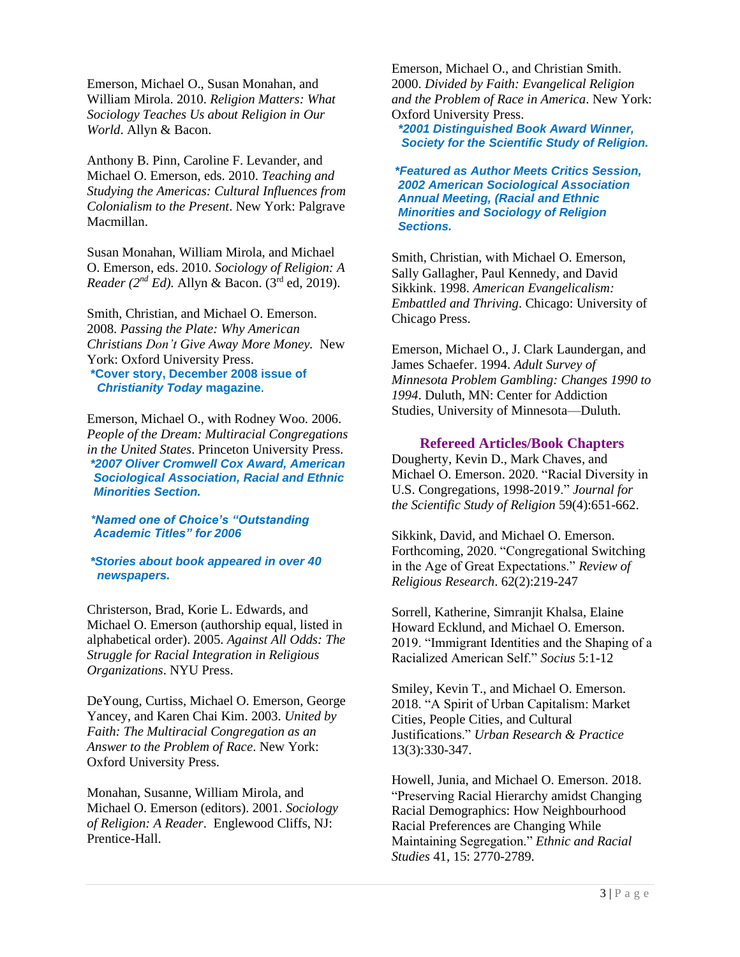Emerson, Michael O., Susan Monahan, and William Mirola. 2010. *Religion Matters: What Sociology Teaches Us about Religion in Our World*. Allyn & Bacon.

Anthony B. Pinn, Caroline F. Levander, and Michael O. Emerson, eds. 2010. *Teaching and Studying the Americas: Cultural Influences from Colonialism to the Present*. New York: Palgrave Macmillan.

Susan Monahan, William Mirola, and Michael O. Emerson, eds. 2010. *Sociology of Religion: A Reader (2nd Ed).* Allyn & Bacon. (3rd ed, 2019).

Smith, Christian, and Michael O. Emerson. 2008. *Passing the Plate: Why American Christians Don't Give Away More Money.* New York: Oxford University Press.

**\*Cover story, December 2008 issue of** *Christianity Today* **magazine**.

Emerson, Michael O., with Rodney Woo. 2006. *People of the Dream: Multiracial Congregations in the United States*. Princeton University Press. *\*2007 Oliver Cromwell Cox Award, American Sociological Association, Racial and Ethnic Minorities Section.*

#### *\*Named one of Choice's "Outstanding Academic Titles" for 2006*

*\*Stories about book appeared in over 40 newspapers.*

Christerson, Brad, Korie L. Edwards, and Michael O. Emerson (authorship equal, listed in alphabetical order). 2005. *Against All Odds: The Struggle for Racial Integration in Religious Organizations*. NYU Press.

DeYoung, Curtiss, Michael O. Emerson, George Yancey, and Karen Chai Kim. 2003. *United by Faith: The Multiracial Congregation as an Answer to the Problem of Race*. New York: Oxford University Press.

Monahan, Susanne, William Mirola, and Michael O. Emerson (editors). 2001. *Sociology of Religion: A Reader*. Englewood Cliffs, NJ: Prentice-Hall.

Emerson, Michael O., and Christian Smith. 2000. *Divided by Faith: Evangelical Religion and the Problem of Race in America*. New York: Oxford University Press.

 *\*2001 Distinguished Book Award Winner, Society for the Scientific Study of Religion.*

*\*Featured as Author Meets Critics Session, 2002 American Sociological Association Annual Meeting, (Racial and Ethnic Minorities and Sociology of Religion Sections.*

Smith, Christian, with Michael O. Emerson, Sally Gallagher, Paul Kennedy, and David Sikkink. 1998. *American Evangelicalism: Embattled and Thriving*. Chicago: University of Chicago Press.

Emerson, Michael O., J. Clark Laundergan, and James Schaefer. 1994. *Adult Survey of Minnesota Problem Gambling: Changes 1990 to 1994*. Duluth, MN: Center for Addiction Studies, University of Minnesota—Duluth.

#### **Refereed Articles/Book Chapters**

Dougherty, Kevin D., Mark Chaves, and Michael O. Emerson. 2020. "Racial Diversity in U.S. Congregations, 1998-2019." *Journal for the Scientific Study of Religion* 59(4):651-662.

Sikkink, David, and Michael O. Emerson. Forthcoming, 2020. "Congregational Switching in the Age of Great Expectations." *Review of Religious Research*. 62(2):219-247

Sorrell, Katherine, Simranjit Khalsa, Elaine Howard Ecklund, and Michael O. Emerson. 2019. "Immigrant Identities and the Shaping of a Racialized American Self." *Socius* 5:1-12

Smiley, Kevin T., and Michael O. Emerson. 2018. "A Spirit of Urban Capitalism: Market Cities, People Cities, and Cultural Justifications." *Urban Research & Practice* 13(3):330-347.

Howell, Junia, and Michael O. Emerson. 2018. "Preserving Racial Hierarchy amidst Changing Racial Demographics: How Neighbourhood Racial Preferences are Changing While Maintaining Segregation." *Ethnic and Racial Studies* 41, 15: 2770-2789.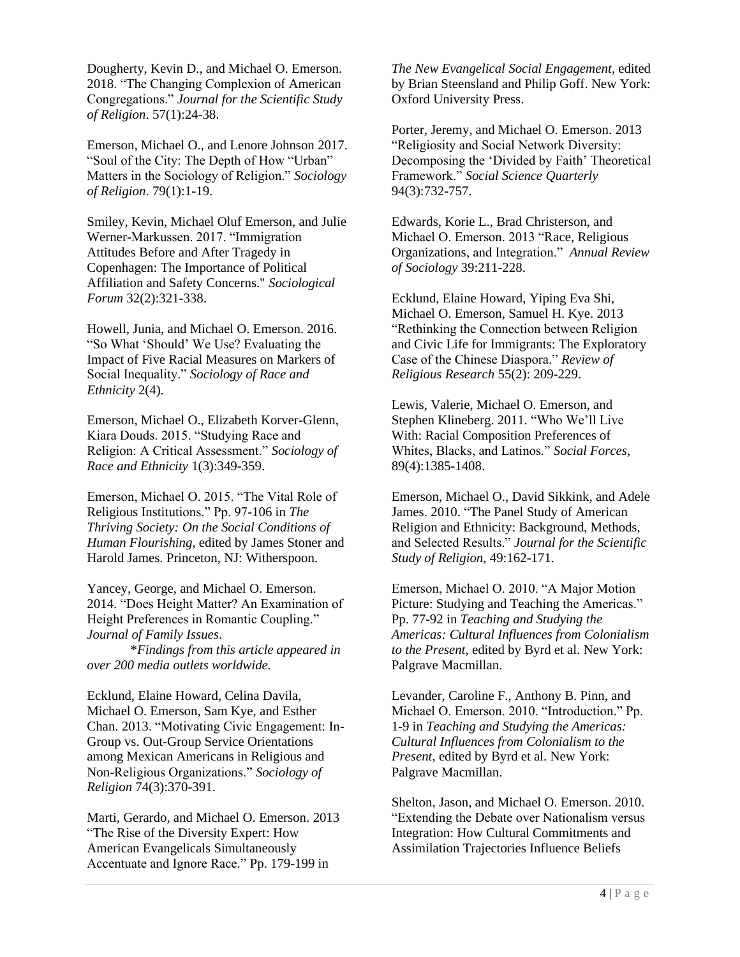Dougherty, Kevin D., and Michael O. Emerson. 2018. "The Changing Complexion of American Congregations." *Journal for the Scientific Study of Religion*. 57(1):24-38.

Emerson, Michael O., and Lenore Johnson 2017. "Soul of the City: The Depth of How "Urban" Matters in the Sociology of Religion." *Sociology of Religion*. 79(1):1-19.

Smiley, Kevin, Michael Oluf Emerson, and Julie Werner-Markussen. 2017. "Immigration Attitudes Before and After Tragedy in Copenhagen: The Importance of Political Affiliation and Safety Concerns." *Sociological Forum* 32(2):321-338.

Howell, Junia, and Michael O. Emerson. 2016. "So What 'Should' We Use? Evaluating the Impact of Five Racial Measures on Markers of Social Inequality." *Sociology of Race and Ethnicity* 2(4).

Emerson, Michael O., Elizabeth Korver-Glenn, Kiara Douds. 2015. "Studying Race and Religion: A Critical Assessment." *Sociology of Race and Ethnicity* 1(3):349-359.

Emerson, Michael O. 2015. "The Vital Role of Religious Institutions." Pp. 97-106 in *The Thriving Society: On the Social Conditions of Human Flourishing*, edited by James Stoner and Harold James. Princeton, NJ: Witherspoon.

Yancey, George, and Michael O. Emerson. 2014. "Does Height Matter? An Examination of Height Preferences in Romantic Coupling." *Journal of Family Issues*.

\**Findings from this article appeared in over 200 media outlets worldwide.*

Ecklund, Elaine Howard, Celina Davila, Michael O. Emerson, Sam Kye, and Esther Chan. 2013. "Motivating Civic Engagement: In-Group vs. Out-Group Service Orientations among Mexican Americans in Religious and Non-Religious Organizations." *Sociology of Religion* 74(3):370-391.

Marti, Gerardo, and Michael O. Emerson. 2013 "The Rise of the Diversity Expert: How American Evangelicals Simultaneously Accentuate and Ignore Race." Pp. 179-199 in

*The New Evangelical Social Engagement*, edited by Brian Steensland and Philip Goff. New York: Oxford University Press.

Porter, Jeremy, and Michael O. Emerson. 2013 "Religiosity and Social Network Diversity: Decomposing the 'Divided by Faith' Theoretical Framework." *Social Science Quarterly* 94(3):732-757.

Edwards, Korie L., Brad Christerson, and Michael O. Emerson. 2013 "Race, Religious Organizations, and Integration." *Annual Review of Sociology* 39:211-228.

Ecklund, Elaine Howard, Yiping Eva Shi, Michael O. Emerson, Samuel H. Kye. 2013 "Rethinking the Connection between Religion and Civic Life for Immigrants: The Exploratory Case of the Chinese Diaspora." *Review of Religious Research* 55(2): 209-229.

Lewis, Valerie, Michael O. Emerson, and Stephen Klineberg. 2011. "Who We'll Live With: Racial Composition Preferences of Whites, Blacks, and Latinos." *Social Forces*, 89(4):1385-1408.

Emerson, Michael O., David Sikkink, and Adele James. 2010. "The Panel Study of American Religion and Ethnicity: Background, Methods, and Selected Results." *Journal for the Scientific Study of Religion*, 49:162-171.

Emerson, Michael O. 2010. "A Major Motion Picture: Studying and Teaching the Americas." Pp. 77-92 in *Teaching and Studying the Americas: Cultural Influences from Colonialism to the Present*, edited by Byrd et al. New York: Palgrave Macmillan.

Levander, Caroline F., Anthony B. Pinn, and Michael O. Emerson. 2010. "Introduction." Pp. 1-9 in *Teaching and Studying the Americas: Cultural Influences from Colonialism to the Present*, edited by Byrd et al. New York: Palgrave Macmillan.

Shelton, Jason, and Michael O. Emerson. 2010. "Extending the Debate over Nationalism versus Integration: How Cultural Commitments and Assimilation Trajectories Influence Beliefs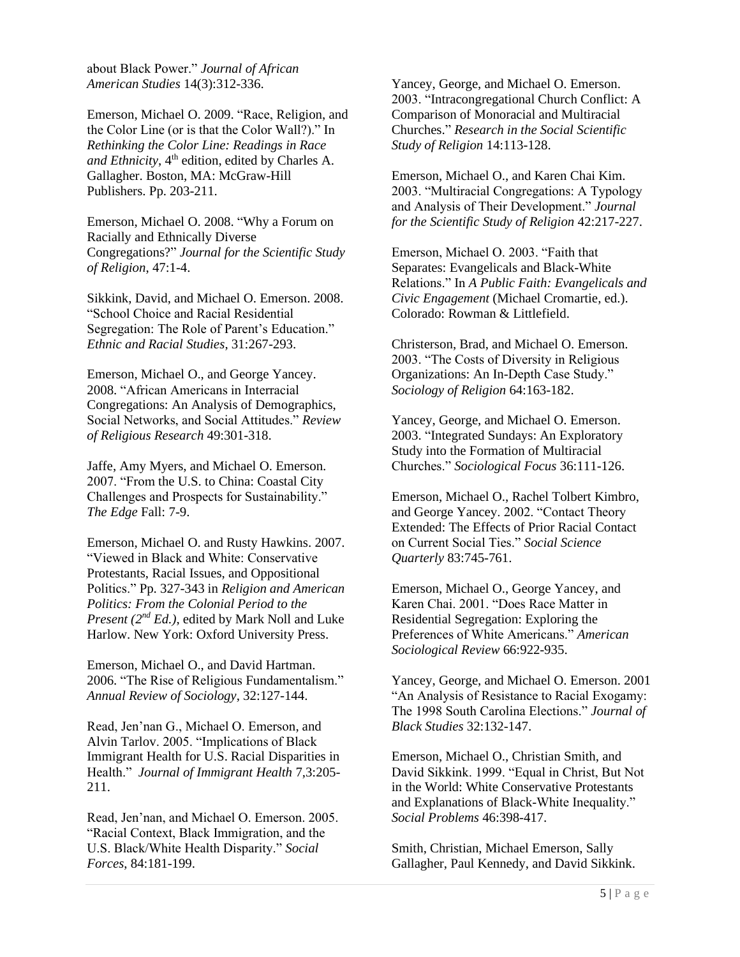about Black Power." *Journal of African American Studies* 14(3):312-336.

Emerson, Michael O. 2009. "Race, Religion, and the Color Line (or is that the Color Wall?)." In *Rethinking the Color Line: Readings in Race and Ethnicity*, 4<sup>th</sup> edition, edited by Charles A. Gallagher. Boston, MA: McGraw-Hill Publishers. Pp. 203-211.

Emerson, Michael O. 2008. "Why a Forum on Racially and Ethnically Diverse Congregations?" *Journal for the Scientific Study of Religion*, 47:1-4.

Sikkink, David, and Michael O. Emerson. 2008. "School Choice and Racial Residential Segregation: The Role of Parent's Education." *Ethnic and Racial Studies*, 31:267-293.

Emerson, Michael O., and George Yancey. 2008. "African Americans in Interracial Congregations: An Analysis of Demographics, Social Networks, and Social Attitudes." *Review of Religious Research* 49:301-318.

Jaffe, Amy Myers, and Michael O. Emerson. 2007. "From the U.S. to China: Coastal City Challenges and Prospects for Sustainability." *The Edge* Fall: 7-9.

Emerson, Michael O. and Rusty Hawkins. 2007. "Viewed in Black and White: Conservative Protestants, Racial Issues, and Oppositional Politics." Pp. 327-343 in *Religion and American Politics: From the Colonial Period to the Present (2nd Ed.)*, edited by Mark Noll and Luke Harlow. New York: Oxford University Press.

Emerson, Michael O., and David Hartman. 2006. "The Rise of Religious Fundamentalism." *Annual Review of Sociology*, 32:127-144.

Read, Jen'nan G., Michael O. Emerson, and Alvin Tarlov. 2005. "Implications of Black Immigrant Health for U.S. Racial Disparities in Health." *Journal of Immigrant Health* 7,3:205- 211.

Read, Jen'nan, and Michael O. Emerson. 2005. "Racial Context, Black Immigration, and the U.S. Black/White Health Disparity." *Social Forces*, 84:181-199.

Yancey, George, and Michael O. Emerson. 2003. "Intracongregational Church Conflict: A Comparison of Monoracial and Multiracial Churches." *Research in the Social Scientific Study of Religion* 14:113-128.

Emerson, Michael O., and Karen Chai Kim. 2003. "Multiracial Congregations: A Typology and Analysis of Their Development." *Journal for the Scientific Study of Religion* 42:217-227.

Emerson, Michael O. 2003. "Faith that Separates: Evangelicals and Black-White Relations." In *A Public Faith: Evangelicals and Civic Engagement* (Michael Cromartie, ed.). Colorado: Rowman & Littlefield.

Christerson, Brad, and Michael O. Emerson. 2003. "The Costs of Diversity in Religious Organizations: An In-Depth Case Study." *Sociology of Religion* 64:163-182.

Yancey, George, and Michael O. Emerson. 2003. "Integrated Sundays: An Exploratory Study into the Formation of Multiracial Churches." *Sociological Focus* 36:111-126.

Emerson, Michael O., Rachel Tolbert Kimbro, and George Yancey. 2002. "Contact Theory Extended: The Effects of Prior Racial Contact on Current Social Ties." *Social Science Quarterly* 83:745-761.

Emerson, Michael O., George Yancey, and Karen Chai. 2001. "Does Race Matter in Residential Segregation: Exploring the Preferences of White Americans." *American Sociological Review* 66:922-935.

Yancey, George, and Michael O. Emerson. 2001 "An Analysis of Resistance to Racial Exogamy: The 1998 South Carolina Elections." *Journal of Black Studies* 32:132-147.

Emerson, Michael O., Christian Smith, and David Sikkink. 1999. "Equal in Christ, But Not in the World: White Conservative Protestants and Explanations of Black-White Inequality." *Social Problems* 46:398-417.

Smith, Christian, Michael Emerson, Sally Gallagher, Paul Kennedy, and David Sikkink.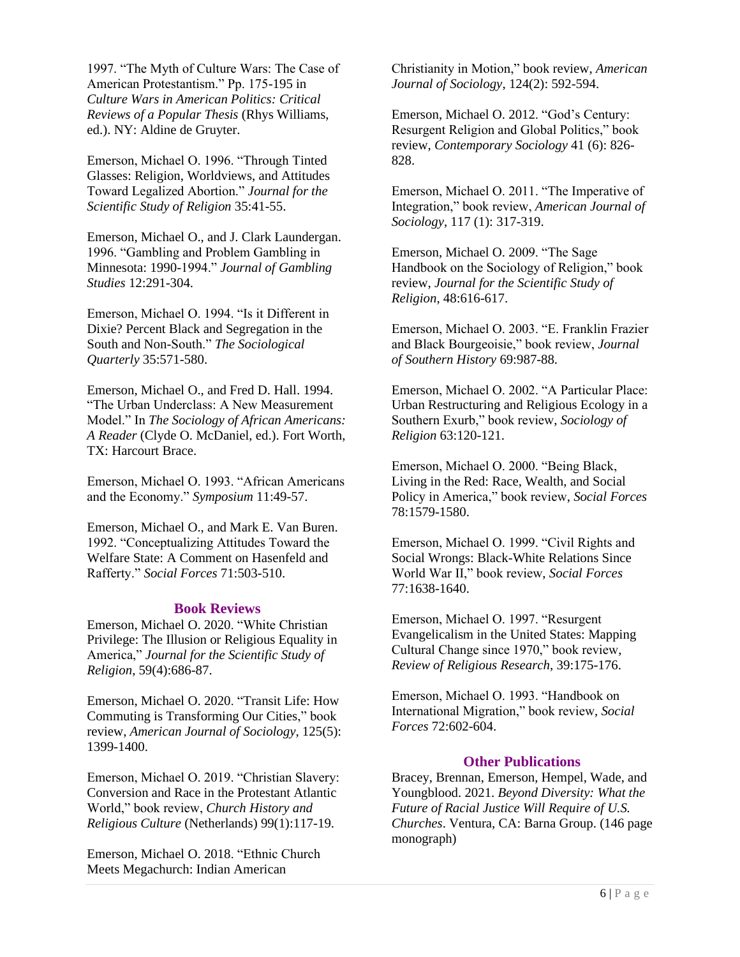1997. "The Myth of Culture Wars: The Case of American Protestantism." Pp. 175-195 in *Culture Wars in American Politics: Critical Reviews of a Popular Thesis* (Rhys Williams, ed.). NY: Aldine de Gruyter.

Emerson, Michael O. 1996. "Through Tinted Glasses: Religion, Worldviews, and Attitudes Toward Legalized Abortion." *Journal for the Scientific Study of Religion* 35:41-55.

Emerson, Michael O., and J. Clark Laundergan. 1996. "Gambling and Problem Gambling in Minnesota: 1990-1994." *Journal of Gambling Studies* 12:291-304.

Emerson, Michael O. 1994. "Is it Different in Dixie? Percent Black and Segregation in the South and Non-South." *The Sociological Quarterly* 35:571-580.

Emerson, Michael O., and Fred D. Hall. 1994. "The Urban Underclass: A New Measurement Model." In *The Sociology of African Americans: A Reader* (Clyde O. McDaniel, ed.). Fort Worth, TX: Harcourt Brace.

Emerson, Michael O. 1993. "African Americans and the Economy." *Symposium* 11:49-57.

Emerson, Michael O., and Mark E. Van Buren. 1992. "Conceptualizing Attitudes Toward the Welfare State: A Comment on Hasenfeld and Rafferty." *Social Forces* 71:503-510.

#### **Book Reviews**

Emerson, Michael O. 2020. "White Christian Privilege: The Illusion or Religious Equality in America," *Journal for the Scientific Study of Religion*, 59(4):686-87.

Emerson, Michael O. 2020. "Transit Life: How Commuting is Transforming Our Cities," book review, *American Journal of Sociology*, 125(5): 1399-1400.

Emerson, Michael O. 2019. "Christian Slavery: Conversion and Race in the Protestant Atlantic World," book review, *Church History and Religious Culture* (Netherlands) 99(1):117-19.

Emerson, Michael O. 2018. "Ethnic Church Meets Megachurch: Indian American

Christianity in Motion," book review, *American Journal of Sociology*, 124(2): 592-594.

Emerson, Michael O. 2012. "God's Century: Resurgent Religion and Global Politics," book review, *Contemporary Sociology* 41 (6): 826- 828.

Emerson, Michael O. 2011. "The Imperative of Integration," book review, *American Journal of Sociology*, 117 (1): 317-319.

Emerson, Michael O. 2009. "The Sage Handbook on the Sociology of Religion," book review, *Journal for the Scientific Study of Religion*, 48:616-617.

Emerson, Michael O. 2003. "E. Franklin Frazier and Black Bourgeoisie," book review, *Journal of Southern History* 69:987-88.

Emerson, Michael O. 2002. "A Particular Place: Urban Restructuring and Religious Ecology in a Southern Exurb," book review, *Sociology of Religion* 63:120-121.

Emerson, Michael O. 2000. "Being Black, Living in the Red: Race, Wealth, and Social Policy in America," book review, *Social Forces*  78:1579-1580.

Emerson, Michael O. 1999. "Civil Rights and Social Wrongs: Black-White Relations Since World War II," book review, *Social Forces*  77:1638-1640.

Emerson, Michael O. 1997. "Resurgent Evangelicalism in the United States: Mapping Cultural Change since 1970," book review, *Review of Religious Research*, 39:175-176.

Emerson, Michael O. 1993. "Handbook on International Migration," book review, *Social Forces* 72:602-604.

#### **Other Publications**

Bracey, Brennan, Emerson, Hempel, Wade, and Youngblood. 2021. *Beyond Diversity: What the Future of Racial Justice Will Require of U.S. Churches*. Ventura, CA: Barna Group. (146 page monograph)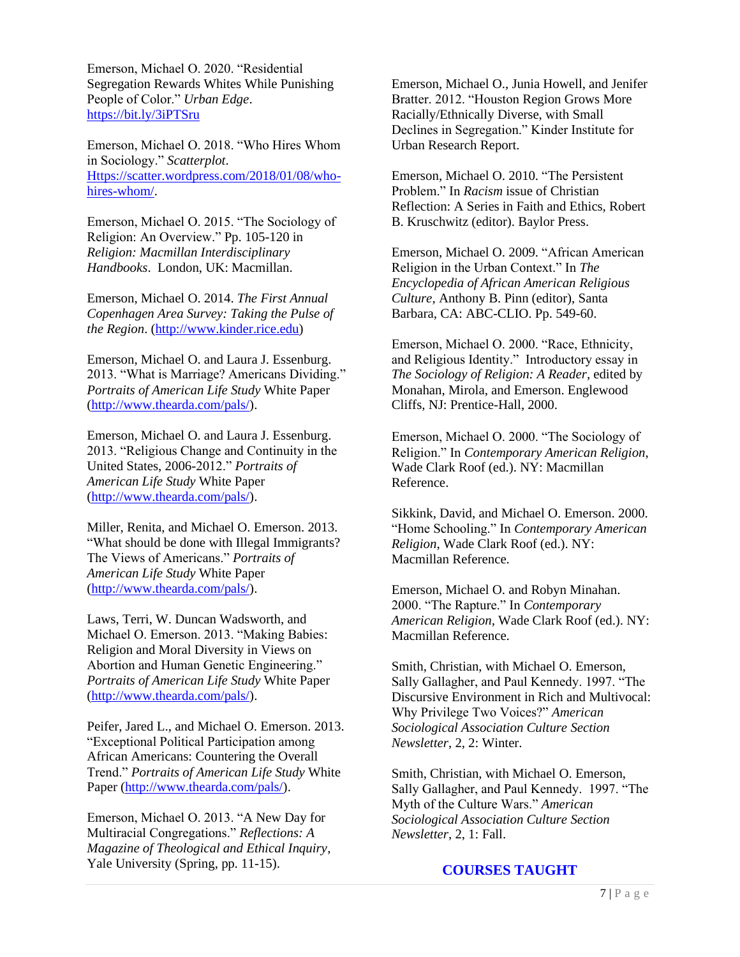Emerson, Michael O. 2020. "Residential Segregation Rewards Whites While Punishing People of Color." *Urban Edge*. <https://bit.ly/3iPTSru>

Emerson, Michael O. 2018. "Who Hires Whom in Sociology." *Scatterplot*. [Https://scatter.wordpress.com/2018/01/08/who](https://scatter.wordpress.com/2018/01/08/who-hires-whom/)[hires-whom/.](https://scatter.wordpress.com/2018/01/08/who-hires-whom/)

Emerson, Michael O. 2015. "The Sociology of Religion: An Overview." Pp. 105-120 in *Religion: Macmillan Interdisciplinary Handbooks*. London, UK: Macmillan.

Emerson, Michael O. 2014. *The First Annual Copenhagen Area Survey: Taking the Pulse of the Region*. [\(http://www.kinder.rice.edu\)](http://www.kinder.rice.edu/)

Emerson, Michael O. and Laura J. Essenburg. 2013. "What is Marriage? Americans Dividing." *Portraits of American Life Study* White Paper [\(http://www.thearda.com/pals/\)](http://www.thearda.com/pals/).

Emerson, Michael O. and Laura J. Essenburg. 2013. "Religious Change and Continuity in the United States, 2006-2012." *Portraits of American Life Study* White Paper [\(http://www.thearda.com/pals/\)](http://www.thearda.com/pals/).

Miller, Renita, and Michael O. Emerson. 2013. "What should be done with Illegal Immigrants? The Views of Americans." *Portraits of American Life Study* White Paper [\(http://www.thearda.com/pals/\)](http://www.thearda.com/pals/).

Laws, Terri, W. Duncan Wadsworth, and Michael O. Emerson. 2013. "Making Babies: Religion and Moral Diversity in Views on Abortion and Human Genetic Engineering." *Portraits of American Life Study* White Paper [\(http://www.thearda.com/pals/\)](http://www.thearda.com/pals/).

Peifer, Jared L., and Michael O. Emerson. 2013. "Exceptional Political Participation among African Americans: Countering the Overall Trend." *Portraits of American Life Study* White Paper [\(http://www.thearda.com/pals/\)](http://www.thearda.com/pals/).

Emerson, Michael O. 2013. "A New Day for Multiracial Congregations." *Reflections: A Magazine of Theological and Ethical Inquiry*, Yale University (Spring, pp. 11-15).

Emerson, Michael O., Junia Howell, and Jenifer Bratter. 2012. "Houston Region Grows More Racially/Ethnically Diverse, with Small Declines in Segregation." Kinder Institute for Urban Research Report.

Emerson, Michael O. 2010. "The Persistent Problem." In *Racism* issue of Christian Reflection: A Series in Faith and Ethics, Robert B. Kruschwitz (editor). Baylor Press.

Emerson, Michael O. 2009. "African American Religion in the Urban Context." In *The Encyclopedia of African American Religious Culture*, Anthony B. Pinn (editor), Santa Barbara, CA: ABC-CLIO. Pp. 549-60.

Emerson, Michael O. 2000. "Race, Ethnicity, and Religious Identity." Introductory essay in *The Sociology of Religion: A Reader*, edited by Monahan, Mirola, and Emerson. Englewood Cliffs, NJ: Prentice-Hall, 2000.

Emerson, Michael O. 2000. "The Sociology of Religion." In *Contemporary American Religion*, Wade Clark Roof (ed.). NY: Macmillan Reference.

Sikkink, David, and Michael O. Emerson. 2000. "Home Schooling." In *Contemporary American Religion*, Wade Clark Roof (ed.). NY: Macmillan Reference.

Emerson, Michael O. and Robyn Minahan. 2000. "The Rapture." In *Contemporary American Religion*, Wade Clark Roof (ed.). NY: Macmillan Reference.

Smith, Christian, with Michael O. Emerson, Sally Gallagher, and Paul Kennedy. 1997. "The Discursive Environment in Rich and Multivocal: Why Privilege Two Voices?" *American Sociological Association Culture Section Newsletter*, 2, 2: Winter.

Smith, Christian, with Michael O. Emerson, Sally Gallagher, and Paul Kennedy. 1997. "The Myth of the Culture Wars." *American Sociological Association Culture Section Newsletter*, 2, 1: Fall.

# **COURSES TAUGHT**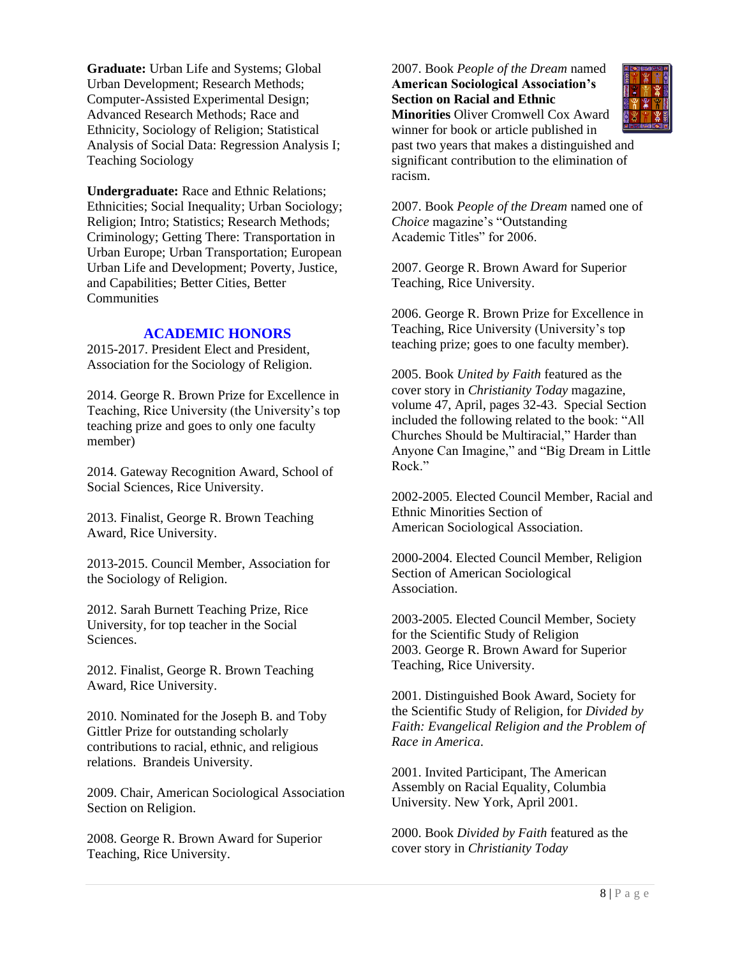**Graduate:** Urban Life and Systems; Global Urban Development; Research Methods; Computer-Assisted Experimental Design; Advanced Research Methods; Race and Ethnicity, Sociology of Religion; Statistical Analysis of Social Data: Regression Analysis I; Teaching Sociology

**Undergraduate:** Race and Ethnic Relations; Ethnicities; Social Inequality; Urban Sociology; Religion; Intro; Statistics; Research Methods; Criminology; Getting There: Transportation in Urban Europe; Urban Transportation; European Urban Life and Development; Poverty, Justice, and Capabilities; Better Cities, Better **Communities** 

## **ACADEMIC HONORS**

2015-2017. President Elect and President, Association for the Sociology of Religion.

2014. George R. Brown Prize for Excellence in Teaching, Rice University (the University's top teaching prize and goes to only one faculty member)

2014. Gateway Recognition Award, School of Social Sciences, Rice University.

2013. Finalist, George R. Brown Teaching Award, Rice University.

2013-2015. Council Member, Association for the Sociology of Religion.

2012. Sarah Burnett Teaching Prize, Rice University, for top teacher in the Social Sciences.

2012. Finalist, George R. Brown Teaching Award, Rice University.

2010. Nominated for the Joseph B. and Toby Gittler Prize for outstanding scholarly contributions to racial, ethnic, and religious relations. Brandeis University.

2009. Chair, American Sociological Association Section on Religion.

2008. George R. Brown Award for Superior Teaching, Rice University.

2007. Book *People of the Dream* named **American Sociological Association's Section on Racial and Ethnic Minorities** Oliver Cromwell Cox Award



winner for book or article published in past two years that makes a distinguished and significant contribution to the elimination of racism.

2007. Book *People of the Dream* named one of *Choice* magazine's "Outstanding Academic Titles" for 2006.

2007. George R. Brown Award for Superior Teaching, Rice University.

2006. George R. Brown Prize for Excellence in Teaching, Rice University (University's top teaching prize; goes to one faculty member).

2005. Book *United by Faith* featured as the cover story in *Christianity Today* magazine, volume 47, April, pages 32-43. Special Section included the following related to the book: "All Churches Should be Multiracial," Harder than Anyone Can Imagine," and "Big Dream in Little Rock."

2002-2005. Elected Council Member, Racial and Ethnic Minorities Section of American Sociological Association.

2000-2004. Elected Council Member, Religion Section of American Sociological **Association** 

2003-2005. Elected Council Member, Society for the Scientific Study of Religion 2003. George R. Brown Award for Superior Teaching, Rice University.

2001. Distinguished Book Award, Society for the Scientific Study of Religion, for *Divided by Faith: Evangelical Religion and the Problem of Race in America*.

2001. Invited Participant, The American Assembly on Racial Equality, Columbia University. New York, April 2001.

2000. Book *Divided by Faith* featured as the cover story in *Christianity Today*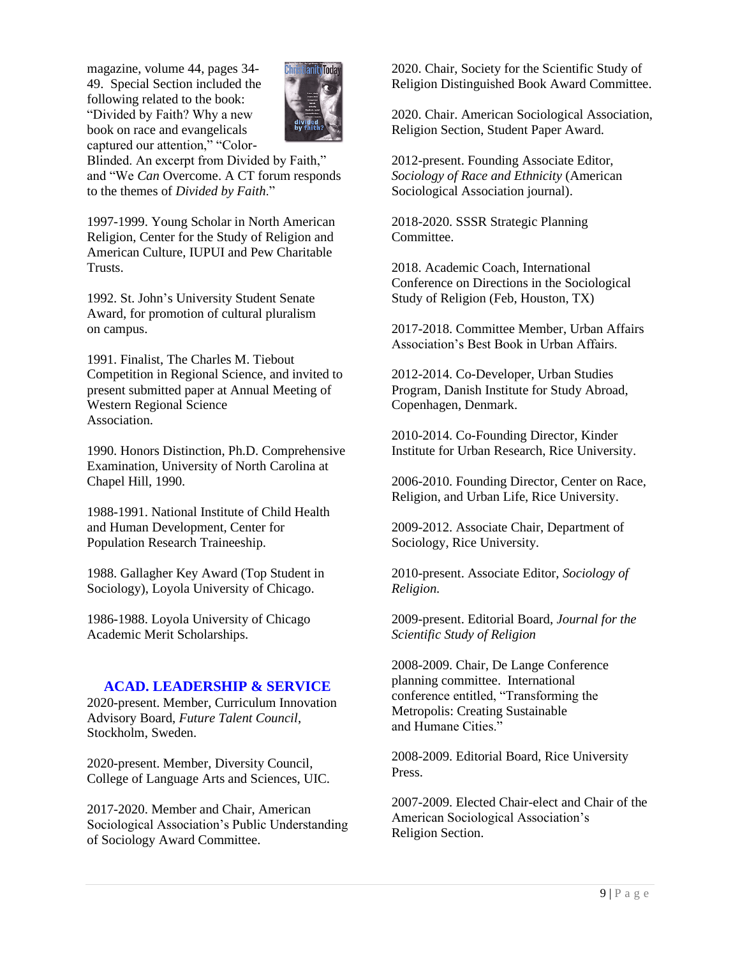magazine, volume 44, pages 34- 49. Special Section included the following related to the book: "Divided by Faith? Why a new book on race and evangelicals captured our attention," "Color-



Blinded. An excerpt from Divided by Faith," and "We *Can* Overcome. A CT forum responds to the themes of *Divided by Faith*."

1997-1999. Young Scholar in North American Religion, Center for the Study of Religion and American Culture, IUPUI and Pew Charitable Trusts.

1992. St. John's University Student Senate Award, for promotion of cultural pluralism on campus.

1991. Finalist, The Charles M. Tiebout Competition in Regional Science, and invited to present submitted paper at Annual Meeting of Western Regional Science Association.

1990. Honors Distinction, Ph.D. Comprehensive Examination, University of North Carolina at Chapel Hill, 1990.

1988-1991. National Institute of Child Health and Human Development, Center for Population Research Traineeship.

1988. Gallagher Key Award (Top Student in Sociology), Loyola University of Chicago.

1986-1988. Loyola University of Chicago Academic Merit Scholarships.

# **ACAD. LEADERSHIP & SERVICE**

2020-present. Member, Curriculum Innovation Advisory Board, *Future Talent Council*, Stockholm, Sweden.

2020-present. Member, Diversity Council, College of Language Arts and Sciences, UIC.

2017-2020. Member and Chair, American Sociological Association's Public Understanding of Sociology Award Committee.

2020. Chair, Society for the Scientific Study of Religion Distinguished Book Award Committee.

2020. Chair. American Sociological Association, Religion Section, Student Paper Award.

2012-present. Founding Associate Editor, *Sociology of Race and Ethnicity* (American Sociological Association journal).

2018-2020. SSSR Strategic Planning **Committee** 

2018. Academic Coach, International Conference on Directions in the Sociological Study of Religion (Feb, Houston, TX)

2017-2018. Committee Member, Urban Affairs Association's Best Book in Urban Affairs.

2012-2014. Co-Developer, Urban Studies Program, Danish Institute for Study Abroad, Copenhagen, Denmark.

2010-2014. Co-Founding Director, Kinder Institute for Urban Research, Rice University.

2006-2010. Founding Director, Center on Race, Religion, and Urban Life, Rice University.

2009-2012. Associate Chair, Department of Sociology, Rice University.

2010-present. Associate Editor, *Sociology of Religion.*

2009-present. Editorial Board, *Journal for the Scientific Study of Religion*

2008-2009. Chair, De Lange Conference planning committee. International conference entitled, "Transforming the Metropolis: Creating Sustainable and Humane Cities."

2008-2009. Editorial Board, Rice University Press.

2007-2009. Elected Chair-elect and Chair of the American Sociological Association's Religion Section.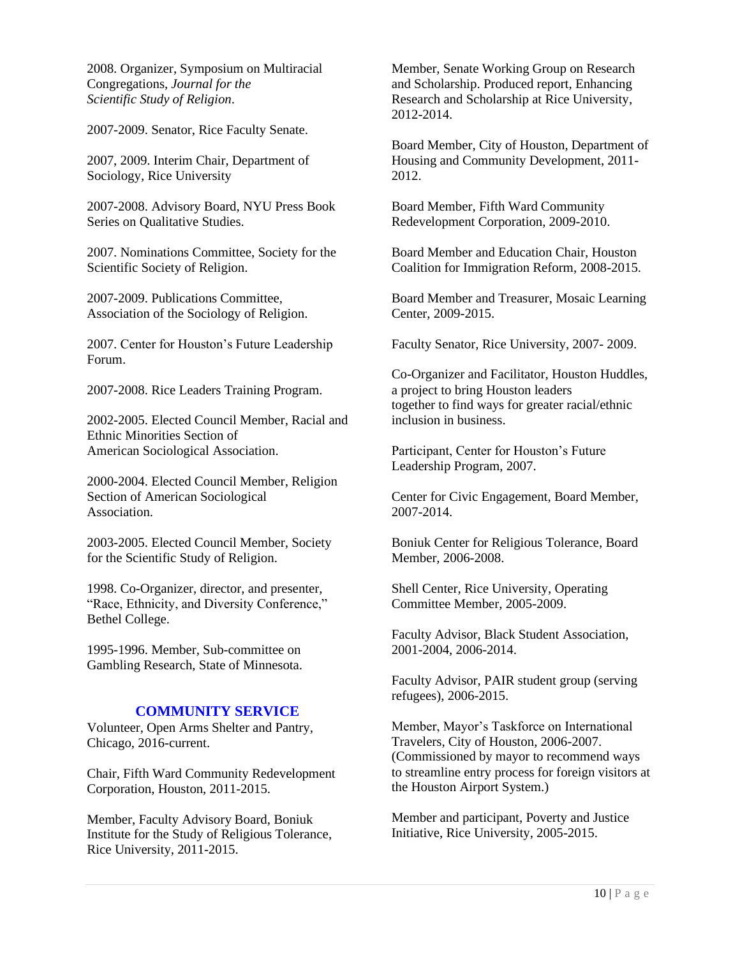2008. Organizer, Symposium on Multiracial Congregations, *Journal for the Scientific Study of Religion*.

2007-2009. Senator, Rice Faculty Senate.

2007, 2009. Interim Chair, Department of Sociology, Rice University

2007-2008. Advisory Board, NYU Press Book Series on Qualitative Studies.

2007. Nominations Committee, Society for the Scientific Society of Religion.

2007-2009. Publications Committee, Association of the Sociology of Religion.

2007. Center for Houston's Future Leadership Forum.

2007-2008. Rice Leaders Training Program.

2002-2005. Elected Council Member, Racial and Ethnic Minorities Section of American Sociological Association.

2000-2004. Elected Council Member, Religion Section of American Sociological Association.

2003-2005. Elected Council Member, Society for the Scientific Study of Religion.

1998. Co-Organizer, director, and presenter, "Race, Ethnicity, and Diversity Conference," Bethel College.

1995-1996. Member, Sub-committee on Gambling Research, State of Minnesota.

# **COMMUNITY SERVICE**

Volunteer, Open Arms Shelter and Pantry, Chicago, 2016-current.

Chair, Fifth Ward Community Redevelopment Corporation, Houston, 2011-2015.

Member, Faculty Advisory Board, Boniuk Institute for the Study of Religious Tolerance, Rice University, 2011-2015.

Member, Senate Working Group on Research and Scholarship. Produced report, Enhancing Research and Scholarship at Rice University, 2012-2014.

Board Member, City of Houston, Department of Housing and Community Development, 2011- 2012.

Board Member, Fifth Ward Community Redevelopment Corporation, 2009-2010.

Board Member and Education Chair, Houston Coalition for Immigration Reform, 2008-2015.

Board Member and Treasurer, Mosaic Learning Center, 2009-2015.

Faculty Senator, Rice University, 2007- 2009.

Co-Organizer and Facilitator, Houston Huddles, a project to bring Houston leaders together to find ways for greater racial/ethnic inclusion in business.

Participant, Center for Houston's Future Leadership Program, 2007.

Center for Civic Engagement, Board Member, 2007-2014.

Boniuk Center for Religious Tolerance, Board Member, 2006-2008.

Shell Center, Rice University, Operating Committee Member, 2005-2009.

Faculty Advisor, Black Student Association, 2001-2004, 2006-2014.

Faculty Advisor, PAIR student group (serving refugees), 2006-2015.

Member, Mayor's Taskforce on International Travelers, City of Houston, 2006-2007. (Commissioned by mayor to recommend ways to streamline entry process for foreign visitors at the Houston Airport System.)

Member and participant, Poverty and Justice Initiative, Rice University, 2005-2015.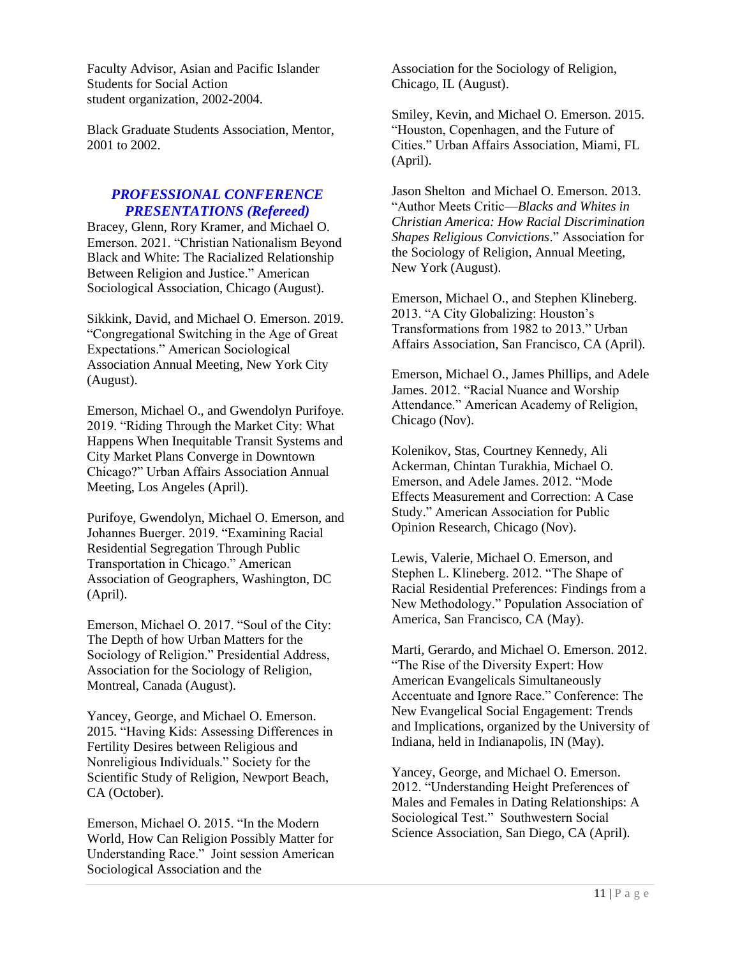Faculty Advisor, Asian and Pacific Islander Students for Social Action student organization, 2002-2004.

Black Graduate Students Association, Mentor, 2001 to 2002.

# *PROFESSIONAL CONFERENCE PRESENTATIONS (Refereed)*

Bracey, Glenn, Rory Kramer, and Michael O. Emerson. 2021. "Christian Nationalism Beyond Black and White: The Racialized Relationship Between Religion and Justice." American Sociological Association, Chicago (August).

Sikkink, David, and Michael O. Emerson. 2019. "Congregational Switching in the Age of Great Expectations." American Sociological Association Annual Meeting, New York City (August).

Emerson, Michael O., and Gwendolyn Purifoye. 2019. "Riding Through the Market City: What Happens When Inequitable Transit Systems and City Market Plans Converge in Downtown Chicago?" Urban Affairs Association Annual Meeting, Los Angeles (April).

Purifoye, Gwendolyn, Michael O. Emerson, and Johannes Buerger. 2019. "Examining Racial Residential Segregation Through Public Transportation in Chicago." American Association of Geographers, Washington, DC (April).

Emerson, Michael O. 2017. "Soul of the City: The Depth of how Urban Matters for the Sociology of Religion." Presidential Address, Association for the Sociology of Religion, Montreal, Canada (August).

Yancey, George, and Michael O. Emerson. 2015. "Having Kids: Assessing Differences in Fertility Desires between Religious and Nonreligious Individuals." Society for the Scientific Study of Religion, Newport Beach, CA (October).

Emerson, Michael O. 2015. "In the Modern World, How Can Religion Possibly Matter for Understanding Race." Joint session American Sociological Association and the

Association for the Sociology of Religion, Chicago, IL (August).

Smiley, Kevin, and Michael O. Emerson. 2015. "Houston, Copenhagen, and the Future of Cities." Urban Affairs Association, Miami, FL (April).

Jason Shelton and Michael O. Emerson. 2013. "Author Meets Critic—*Blacks and Whites in Christian America: How Racial Discrimination Shapes Religious Convictions*." Association for the Sociology of Religion, Annual Meeting, New York (August).

Emerson, Michael O., and Stephen Klineberg. 2013. "A City Globalizing: Houston's Transformations from 1982 to 2013." Urban Affairs Association, San Francisco, CA (April).

Emerson, Michael O., James Phillips, and Adele James. 2012. "Racial Nuance and Worship Attendance." American Academy of Religion, Chicago (Nov).

Kolenikov, Stas, Courtney Kennedy, Ali Ackerman, Chintan Turakhia, Michael O. Emerson, and Adele James. 2012. "Mode Effects Measurement and Correction: A Case Study." American Association for Public Opinion Research, Chicago (Nov).

Lewis, Valerie, Michael O. Emerson, and Stephen L. Klineberg. 2012. "The Shape of Racial Residential Preferences: Findings from a New Methodology." Population Association of America, San Francisco, CA (May).

Marti, Gerardo, and Michael O. Emerson. 2012. "The Rise of the Diversity Expert: How American Evangelicals Simultaneously Accentuate and Ignore Race." Conference: The New Evangelical Social Engagement: Trends and Implications, organized by the University of Indiana, held in Indianapolis, IN (May).

Yancey, George, and Michael O. Emerson. 2012. "Understanding Height Preferences of Males and Females in Dating Relationships: A Sociological Test." Southwestern Social Science Association, San Diego, CA (April).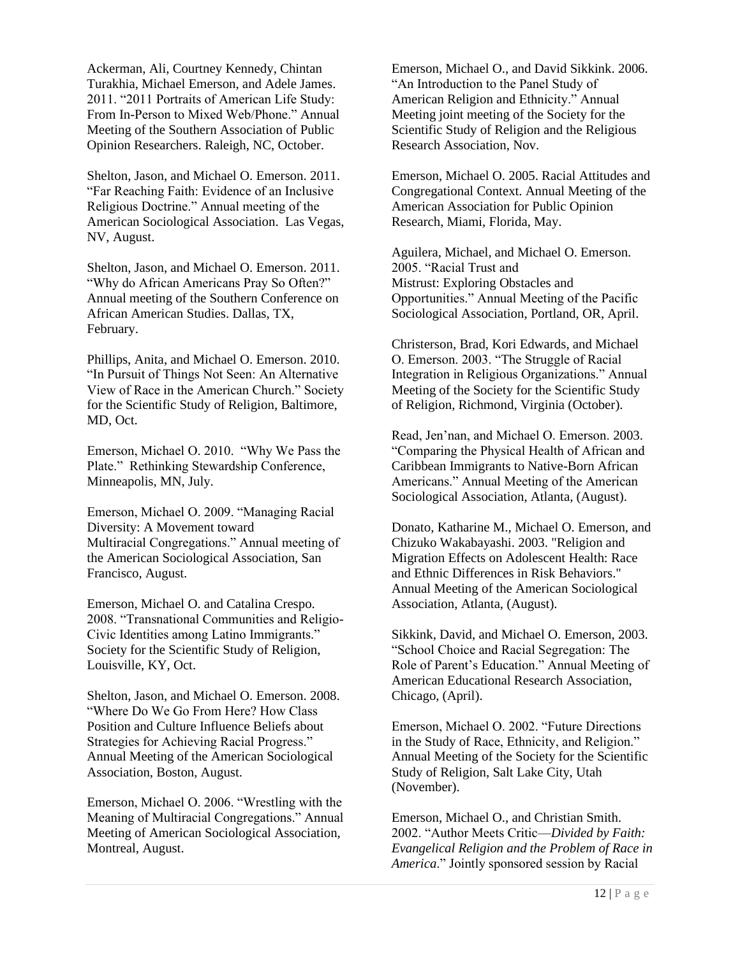Ackerman, Ali, Courtney Kennedy, Chintan Turakhia, Michael Emerson, and Adele James. 2011. "2011 Portraits of American Life Study: From In-Person to Mixed Web/Phone." Annual Meeting of the Southern Association of Public Opinion Researchers. Raleigh, NC, October.

Shelton, Jason, and Michael O. Emerson. 2011. "Far Reaching Faith: Evidence of an Inclusive Religious Doctrine." Annual meeting of the American Sociological Association. Las Vegas, NV, August.

Shelton, Jason, and Michael O. Emerson. 2011. "Why do African Americans Pray So Often?" Annual meeting of the Southern Conference on African American Studies. Dallas, TX, February.

Phillips, Anita, and Michael O. Emerson. 2010. "In Pursuit of Things Not Seen: An Alternative View of Race in the American Church." Society for the Scientific Study of Religion, Baltimore, MD, Oct.

Emerson, Michael O. 2010. "Why We Pass the Plate." Rethinking Stewardship Conference, Minneapolis, MN, July.

Emerson, Michael O. 2009. "Managing Racial Diversity: A Movement toward Multiracial Congregations." Annual meeting of the American Sociological Association, San Francisco, August.

Emerson, Michael O. and Catalina Crespo. 2008. "Transnational Communities and Religio-Civic Identities among Latino Immigrants." Society for the Scientific Study of Religion, Louisville, KY, Oct.

Shelton, Jason, and Michael O. Emerson. 2008. "Where Do We Go From Here? How Class Position and Culture Influence Beliefs about Strategies for Achieving Racial Progress." Annual Meeting of the American Sociological Association, Boston, August.

Emerson, Michael O. 2006. "Wrestling with the Meaning of Multiracial Congregations." Annual Meeting of American Sociological Association, Montreal, August.

Emerson, Michael O., and David Sikkink. 2006. "An Introduction to the Panel Study of American Religion and Ethnicity." Annual Meeting joint meeting of the Society for the Scientific Study of Religion and the Religious Research Association, Nov.

Emerson, Michael O. 2005. Racial Attitudes and Congregational Context. Annual Meeting of the American Association for Public Opinion Research, Miami, Florida, May.

Aguilera, Michael, and Michael O. Emerson. 2005. "Racial Trust and Mistrust: Exploring Obstacles and Opportunities." Annual Meeting of the Pacific Sociological Association, Portland, OR, April.

Christerson, Brad, Kori Edwards, and Michael O. Emerson. 2003. "The Struggle of Racial Integration in Religious Organizations." Annual Meeting of the Society for the Scientific Study of Religion, Richmond, Virginia (October).

Read, Jen'nan, and Michael O. Emerson. 2003. "Comparing the Physical Health of African and Caribbean Immigrants to Native-Born African Americans." Annual Meeting of the American Sociological Association, Atlanta, (August).

Donato, Katharine M., Michael O. Emerson, and Chizuko Wakabayashi. 2003. "Religion and Migration Effects on Adolescent Health: Race and Ethnic Differences in Risk Behaviors." Annual Meeting of the American Sociological Association, Atlanta, (August).

Sikkink, David, and Michael O. Emerson, 2003. "School Choice and Racial Segregation: The Role of Parent's Education." Annual Meeting of American Educational Research Association, Chicago, (April).

Emerson, Michael O. 2002. "Future Directions in the Study of Race, Ethnicity, and Religion." Annual Meeting of the Society for the Scientific Study of Religion, Salt Lake City, Utah (November).

Emerson, Michael O., and Christian Smith. 2002. "Author Meets Critic—*Divided by Faith: Evangelical Religion and the Problem of Race in America*." Jointly sponsored session by Racial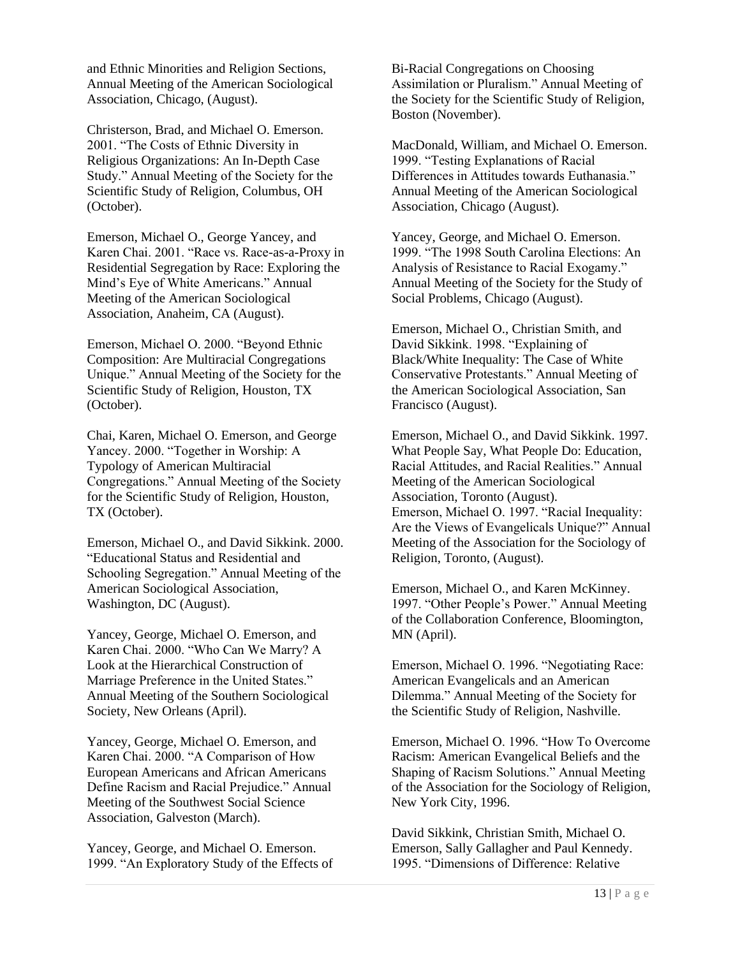and Ethnic Minorities and Religion Sections, Annual Meeting of the American Sociological Association, Chicago, (August).

Christerson, Brad, and Michael O. Emerson. 2001. "The Costs of Ethnic Diversity in Religious Organizations: An In-Depth Case Study." Annual Meeting of the Society for the Scientific Study of Religion, Columbus, OH (October).

Emerson, Michael O., George Yancey, and Karen Chai. 2001. "Race vs. Race-as-a-Proxy in Residential Segregation by Race: Exploring the Mind's Eye of White Americans." Annual Meeting of the American Sociological Association, Anaheim, CA (August).

Emerson, Michael O. 2000. "Beyond Ethnic Composition: Are Multiracial Congregations Unique." Annual Meeting of the Society for the Scientific Study of Religion, Houston, TX (October).

Chai, Karen, Michael O. Emerson, and George Yancey. 2000. "Together in Worship: A Typology of American Multiracial Congregations." Annual Meeting of the Society for the Scientific Study of Religion, Houston, TX (October).

Emerson, Michael O., and David Sikkink. 2000. "Educational Status and Residential and Schooling Segregation." Annual Meeting of the American Sociological Association, Washington, DC (August).

Yancey, George, Michael O. Emerson, and Karen Chai. 2000. "Who Can We Marry? A Look at the Hierarchical Construction of Marriage Preference in the United States." Annual Meeting of the Southern Sociological Society, New Orleans (April).

Yancey, George, Michael O. Emerson, and Karen Chai. 2000. "A Comparison of How European Americans and African Americans Define Racism and Racial Prejudice." Annual Meeting of the Southwest Social Science Association, Galveston (March).

Yancey, George, and Michael O. Emerson. 1999. "An Exploratory Study of the Effects of Bi-Racial Congregations on Choosing Assimilation or Pluralism." Annual Meeting of the Society for the Scientific Study of Religion, Boston (November).

MacDonald, William, and Michael O. Emerson. 1999. "Testing Explanations of Racial Differences in Attitudes towards Euthanasia." Annual Meeting of the American Sociological Association, Chicago (August).

Yancey, George, and Michael O. Emerson. 1999. "The 1998 South Carolina Elections: An Analysis of Resistance to Racial Exogamy." Annual Meeting of the Society for the Study of Social Problems, Chicago (August).

Emerson, Michael O., Christian Smith, and David Sikkink. 1998. "Explaining of Black/White Inequality: The Case of White Conservative Protestants." Annual Meeting of the American Sociological Association, San Francisco (August).

Emerson, Michael O., and David Sikkink. 1997. What People Say, What People Do: Education, Racial Attitudes, and Racial Realities." Annual Meeting of the American Sociological Association, Toronto (August). Emerson, Michael O. 1997. "Racial Inequality: Are the Views of Evangelicals Unique?" Annual Meeting of the Association for the Sociology of Religion, Toronto, (August).

Emerson, Michael O., and Karen McKinney. 1997. "Other People's Power." Annual Meeting of the Collaboration Conference, Bloomington, MN (April).

Emerson, Michael O. 1996. "Negotiating Race: American Evangelicals and an American Dilemma." Annual Meeting of the Society for the Scientific Study of Religion, Nashville.

Emerson, Michael O. 1996. "How To Overcome Racism: American Evangelical Beliefs and the Shaping of Racism Solutions." Annual Meeting of the Association for the Sociology of Religion, New York City, 1996.

David Sikkink, Christian Smith, Michael O. Emerson, Sally Gallagher and Paul Kennedy. 1995. "Dimensions of Difference: Relative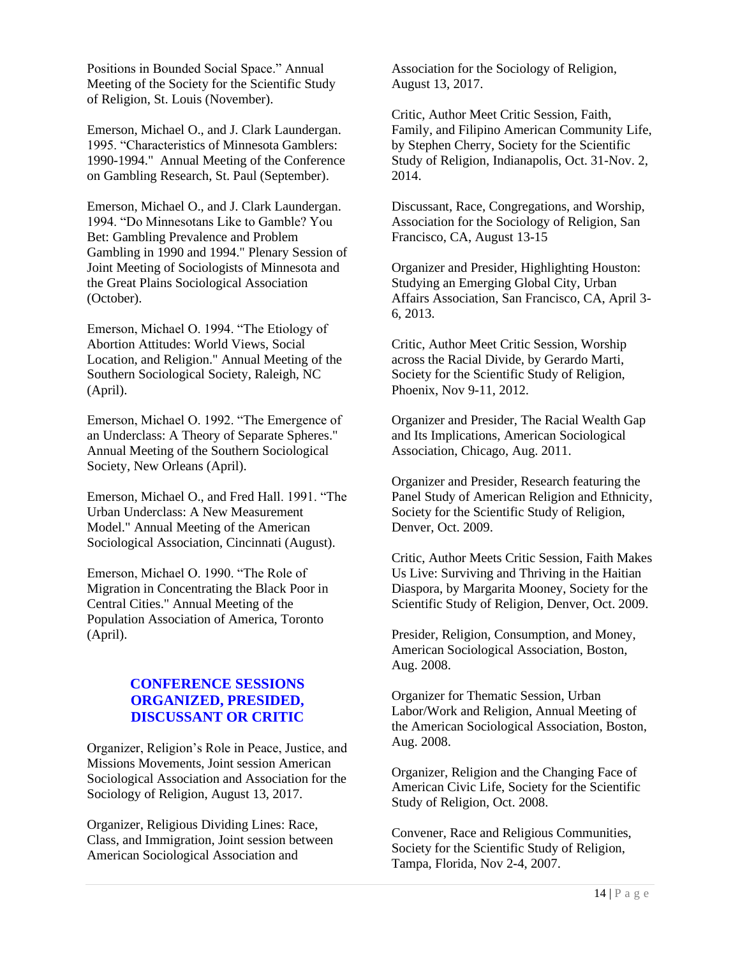Positions in Bounded Social Space." Annual Meeting of the Society for the Scientific Study of Religion, St. Louis (November).

Emerson, Michael O., and J. Clark Laundergan. 1995. "Characteristics of Minnesota Gamblers: 1990-1994." Annual Meeting of the Conference on Gambling Research, St. Paul (September).

Emerson, Michael O., and J. Clark Laundergan. 1994. "Do Minnesotans Like to Gamble? You Bet: Gambling Prevalence and Problem Gambling in 1990 and 1994." Plenary Session of Joint Meeting of Sociologists of Minnesota and the Great Plains Sociological Association (October).

Emerson, Michael O. 1994. "The Etiology of Abortion Attitudes: World Views, Social Location, and Religion." Annual Meeting of the Southern Sociological Society, Raleigh, NC (April).

Emerson, Michael O. 1992. "The Emergence of an Underclass: A Theory of Separate Spheres." Annual Meeting of the Southern Sociological Society, New Orleans (April).

Emerson, Michael O., and Fred Hall. 1991. "The Urban Underclass: A New Measurement Model." Annual Meeting of the American Sociological Association, Cincinnati (August).

Emerson, Michael O. 1990. "The Role of Migration in Concentrating the Black Poor in Central Cities." Annual Meeting of the Population Association of America, Toronto (April).

# **CONFERENCE SESSIONS ORGANIZED, PRESIDED, DISCUSSANT OR CRITIC**

Organizer, Religion's Role in Peace, Justice, and Missions Movements, Joint session American Sociological Association and Association for the Sociology of Religion, August 13, 2017.

Organizer, Religious Dividing Lines: Race, Class, and Immigration, Joint session between American Sociological Association and

Association for the Sociology of Religion, August 13, 2017.

Critic, Author Meet Critic Session, Faith, Family, and Filipino American Community Life, by Stephen Cherry, Society for the Scientific Study of Religion, Indianapolis, Oct. 31-Nov. 2, 2014.

Discussant, Race, Congregations, and Worship, Association for the Sociology of Religion, San Francisco, CA, August 13-15

Organizer and Presider, Highlighting Houston: Studying an Emerging Global City, Urban Affairs Association, San Francisco, CA, April 3- 6, 2013.

Critic, Author Meet Critic Session, Worship across the Racial Divide, by Gerardo Marti, Society for the Scientific Study of Religion, Phoenix, Nov 9-11, 2012.

Organizer and Presider, The Racial Wealth Gap and Its Implications, American Sociological Association, Chicago, Aug. 2011.

Organizer and Presider, Research featuring the Panel Study of American Religion and Ethnicity, Society for the Scientific Study of Religion, Denver, Oct. 2009.

Critic, Author Meets Critic Session, Faith Makes Us Live: Surviving and Thriving in the Haitian Diaspora, by Margarita Mooney, Society for the Scientific Study of Religion, Denver, Oct. 2009.

Presider, Religion, Consumption, and Money, American Sociological Association, Boston, Aug. 2008.

Organizer for Thematic Session, Urban Labor/Work and Religion, Annual Meeting of the American Sociological Association, Boston, Aug. 2008.

Organizer, Religion and the Changing Face of American Civic Life, Society for the Scientific Study of Religion, Oct. 2008.

Convener, Race and Religious Communities, Society for the Scientific Study of Religion, Tampa, Florida, Nov 2-4, 2007.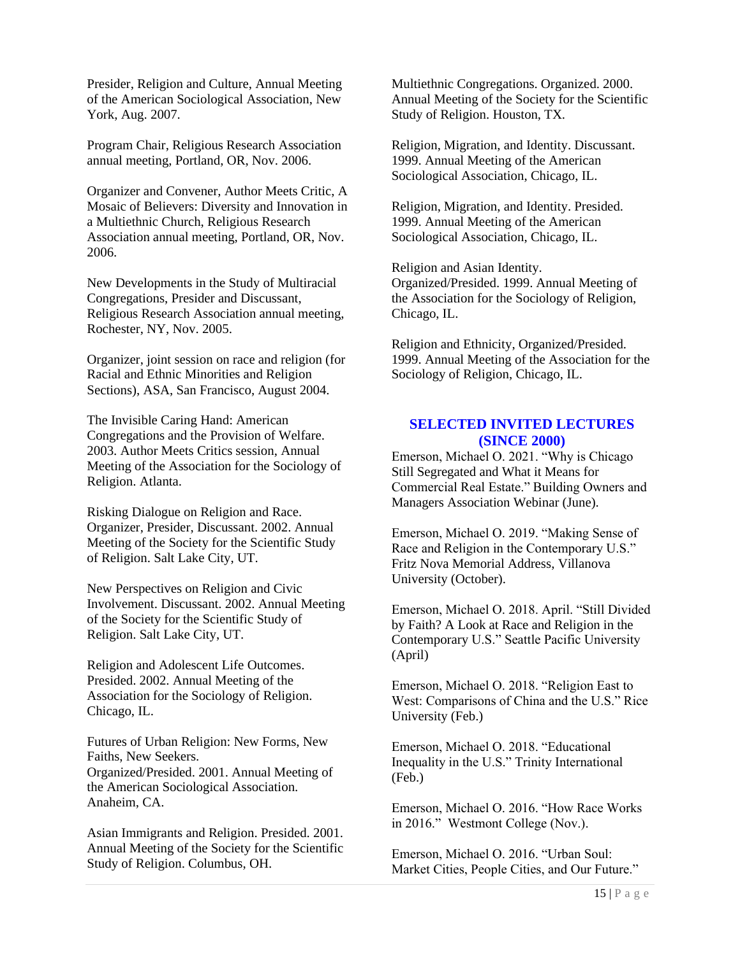Presider, Religion and Culture, Annual Meeting of the American Sociological Association, New York, Aug. 2007.

Program Chair, Religious Research Association annual meeting, Portland, OR, Nov. 2006.

Organizer and Convener, Author Meets Critic, A Mosaic of Believers: Diversity and Innovation in a Multiethnic Church, Religious Research Association annual meeting, Portland, OR, Nov. 2006.

New Developments in the Study of Multiracial Congregations, Presider and Discussant, Religious Research Association annual meeting, Rochester, NY, Nov. 2005.

Organizer, joint session on race and religion (for Racial and Ethnic Minorities and Religion Sections), ASA, San Francisco, August 2004.

The Invisible Caring Hand: American Congregations and the Provision of Welfare. 2003. Author Meets Critics session, Annual Meeting of the Association for the Sociology of Religion. Atlanta.

Risking Dialogue on Religion and Race. Organizer, Presider, Discussant. 2002. Annual Meeting of the Society for the Scientific Study of Religion. Salt Lake City, UT.

New Perspectives on Religion and Civic Involvement. Discussant. 2002. Annual Meeting of the Society for the Scientific Study of Religion. Salt Lake City, UT.

Religion and Adolescent Life Outcomes. Presided. 2002. Annual Meeting of the Association for the Sociology of Religion. Chicago, IL.

Futures of Urban Religion: New Forms, New Faiths, New Seekers. Organized/Presided. 2001. Annual Meeting of the American Sociological Association. Anaheim, CA.

Asian Immigrants and Religion. Presided. 2001. Annual Meeting of the Society for the Scientific Study of Religion. Columbus, OH.

Multiethnic Congregations. Organized. 2000. Annual Meeting of the Society for the Scientific Study of Religion. Houston, TX.

Religion, Migration, and Identity. Discussant. 1999. Annual Meeting of the American Sociological Association, Chicago, IL.

Religion, Migration, and Identity. Presided. 1999. Annual Meeting of the American Sociological Association, Chicago, IL.

Religion and Asian Identity. Organized/Presided. 1999. Annual Meeting of the Association for the Sociology of Religion, Chicago, IL.

Religion and Ethnicity, Organized/Presided. 1999. Annual Meeting of the Association for the Sociology of Religion, Chicago, IL.

# **SELECTED INVITED LECTURES (SINCE 2000)**

Emerson, Michael O. 2021. "Why is Chicago Still Segregated and What it Means for Commercial Real Estate." Building Owners and Managers Association Webinar (June).

Emerson, Michael O. 2019. "Making Sense of Race and Religion in the Contemporary U.S." Fritz Nova Memorial Address, Villanova University (October).

Emerson, Michael O. 2018. April. "Still Divided by Faith? A Look at Race and Religion in the Contemporary U.S." Seattle Pacific University (April)

Emerson, Michael O. 2018. "Religion East to West: Comparisons of China and the U.S." Rice University (Feb.)

Emerson, Michael O. 2018. "Educational Inequality in the U.S." Trinity International (Feb.)

Emerson, Michael O. 2016. "How Race Works in 2016." Westmont College (Nov.).

Emerson, Michael O. 2016. "Urban Soul: Market Cities, People Cities, and Our Future."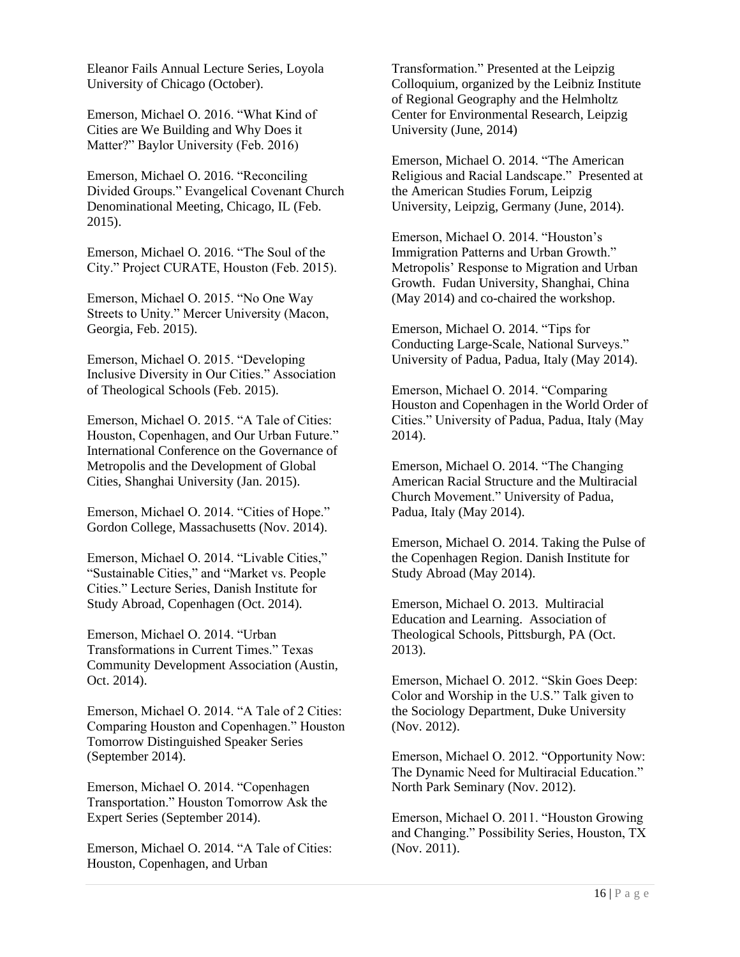Eleanor Fails Annual Lecture Series, Loyola University of Chicago (October).

Emerson, Michael O. 2016. "What Kind of Cities are We Building and Why Does it Matter?" Baylor University (Feb. 2016)

Emerson, Michael O. 2016. "Reconciling Divided Groups." Evangelical Covenant Church Denominational Meeting, Chicago, IL (Feb. 2015).

Emerson, Michael O. 2016. "The Soul of the City." Project CURATE, Houston (Feb. 2015).

Emerson, Michael O. 2015. "No One Way Streets to Unity." Mercer University (Macon, Georgia, Feb. 2015).

Emerson, Michael O. 2015. "Developing Inclusive Diversity in Our Cities." Association of Theological Schools (Feb. 2015).

Emerson, Michael O. 2015. "A Tale of Cities: Houston, Copenhagen, and Our Urban Future." International Conference on the Governance of Metropolis and the Development of Global Cities, Shanghai University (Jan. 2015).

Emerson, Michael O. 2014. "Cities of Hope." Gordon College, Massachusetts (Nov. 2014).

Emerson, Michael O. 2014. "Livable Cities," "Sustainable Cities," and "Market vs. People Cities." Lecture Series, Danish Institute for Study Abroad, Copenhagen (Oct. 2014).

Emerson, Michael O. 2014. "Urban Transformations in Current Times." Texas Community Development Association (Austin, Oct. 2014).

Emerson, Michael O. 2014. "A Tale of 2 Cities: Comparing Houston and Copenhagen." Houston Tomorrow Distinguished Speaker Series (September 2014).

Emerson, Michael O. 2014. "Copenhagen Transportation." Houston Tomorrow Ask the Expert Series (September 2014).

Emerson, Michael O. 2014. "A Tale of Cities: Houston, Copenhagen, and Urban

Transformation." Presented at the Leipzig Colloquium, organized by the Leibniz Institute of Regional Geography and the Helmholtz Center for Environmental Research, Leipzig University (June, 2014)

Emerson, Michael O. 2014. "The American Religious and Racial Landscape." Presented at the American Studies Forum, Leipzig University, Leipzig, Germany (June, 2014).

Emerson, Michael O. 2014. "Houston's Immigration Patterns and Urban Growth." Metropolis' Response to Migration and Urban Growth. Fudan University, Shanghai, China (May 2014) and co-chaired the workshop.

Emerson, Michael O. 2014. "Tips for Conducting Large-Scale, National Surveys." University of Padua, Padua, Italy (May 2014).

Emerson, Michael O. 2014. "Comparing Houston and Copenhagen in the World Order of Cities." University of Padua, Padua, Italy (May 2014).

Emerson, Michael O. 2014. "The Changing American Racial Structure and the Multiracial Church Movement." University of Padua, Padua, Italy (May 2014).

Emerson, Michael O. 2014. Taking the Pulse of the Copenhagen Region. Danish Institute for Study Abroad (May 2014).

Emerson, Michael O. 2013. Multiracial Education and Learning. Association of Theological Schools, Pittsburgh, PA (Oct. 2013).

Emerson, Michael O. 2012. "Skin Goes Deep: Color and Worship in the U.S." Talk given to the Sociology Department, Duke University (Nov. 2012).

Emerson, Michael O. 2012. "Opportunity Now: The Dynamic Need for Multiracial Education." North Park Seminary (Nov. 2012).

Emerson, Michael O. 2011. "Houston Growing and Changing." Possibility Series, Houston, TX (Nov. 2011).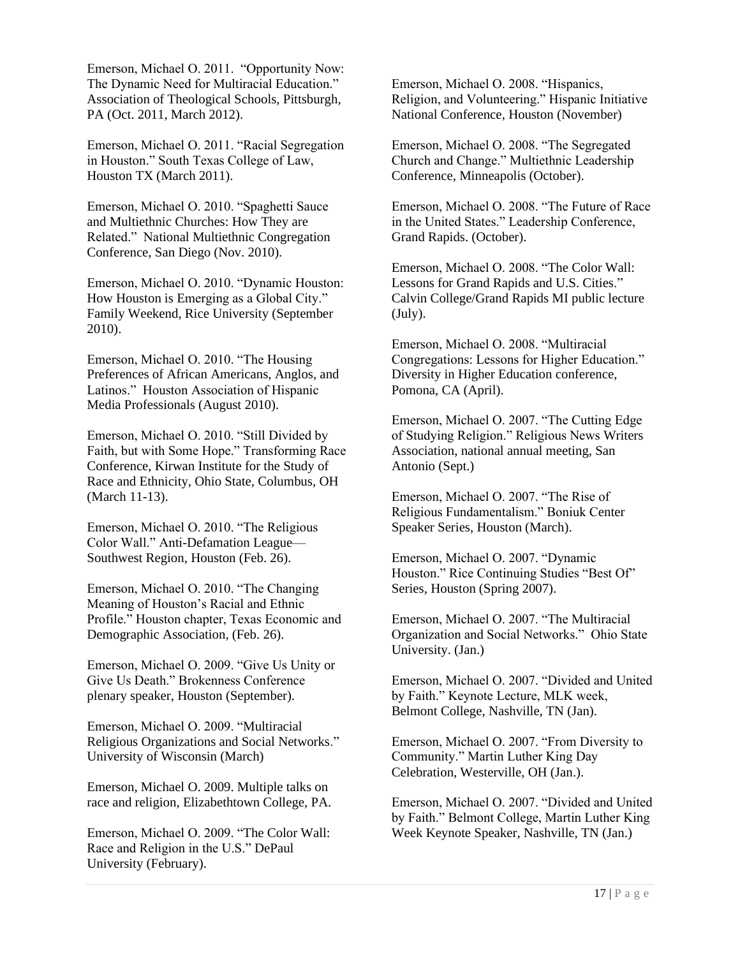Emerson, Michael O. 2011. "Opportunity Now: The Dynamic Need for Multiracial Education." Association of Theological Schools, Pittsburgh, PA (Oct. 2011, March 2012).

Emerson, Michael O. 2011. "Racial Segregation in Houston." South Texas College of Law, Houston TX (March 2011).

Emerson, Michael O. 2010. "Spaghetti Sauce and Multiethnic Churches: How They are Related." National Multiethnic Congregation Conference, San Diego (Nov. 2010).

Emerson, Michael O. 2010. "Dynamic Houston: How Houston is Emerging as a Global City." Family Weekend, Rice University (September 2010).

Emerson, Michael O. 2010. "The Housing Preferences of African Americans, Anglos, and Latinos." Houston Association of Hispanic Media Professionals (August 2010).

Emerson, Michael O. 2010. "Still Divided by Faith, but with Some Hope." Transforming Race Conference, Kirwan Institute for the Study of Race and Ethnicity, Ohio State, Columbus, OH (March 11-13).

Emerson, Michael O. 2010. "The Religious Color Wall." Anti-Defamation League— Southwest Region, Houston (Feb. 26).

Emerson, Michael O. 2010. "The Changing Meaning of Houston's Racial and Ethnic Profile." Houston chapter, Texas Economic and Demographic Association, (Feb. 26).

Emerson, Michael O. 2009. "Give Us Unity or Give Us Death." Brokenness Conference plenary speaker, Houston (September).

Emerson, Michael O. 2009. "Multiracial Religious Organizations and Social Networks." University of Wisconsin (March)

Emerson, Michael O. 2009. Multiple talks on race and religion, Elizabethtown College, PA.

Emerson, Michael O. 2009. "The Color Wall: Race and Religion in the U.S." DePaul University (February).

Emerson, Michael O. 2008. "Hispanics, Religion, and Volunteering." Hispanic Initiative National Conference, Houston (November)

Emerson, Michael O. 2008. "The Segregated Church and Change." Multiethnic Leadership Conference, Minneapolis (October).

Emerson, Michael O. 2008. "The Future of Race in the United States." Leadership Conference, Grand Rapids. (October).

Emerson, Michael O. 2008. "The Color Wall: Lessons for Grand Rapids and U.S. Cities." Calvin College/Grand Rapids MI public lecture (July).

Emerson, Michael O. 2008. "Multiracial Congregations: Lessons for Higher Education." Diversity in Higher Education conference, Pomona, CA (April).

Emerson, Michael O. 2007. "The Cutting Edge of Studying Religion." Religious News Writers Association, national annual meeting, San Antonio (Sept.)

Emerson, Michael O. 2007. "The Rise of Religious Fundamentalism." Boniuk Center Speaker Series, Houston (March).

Emerson, Michael O. 2007. "Dynamic Houston." Rice Continuing Studies "Best Of" Series, Houston (Spring 2007).

Emerson, Michael O. 2007. "The Multiracial Organization and Social Networks." Ohio State University. (Jan.)

Emerson, Michael O. 2007. "Divided and United by Faith." Keynote Lecture, MLK week, Belmont College, Nashville, TN (Jan).

Emerson, Michael O. 2007. "From Diversity to Community." Martin Luther King Day Celebration, Westerville, OH (Jan.).

Emerson, Michael O. 2007. "Divided and United by Faith." Belmont College, Martin Luther King Week Keynote Speaker, Nashville, TN (Jan.)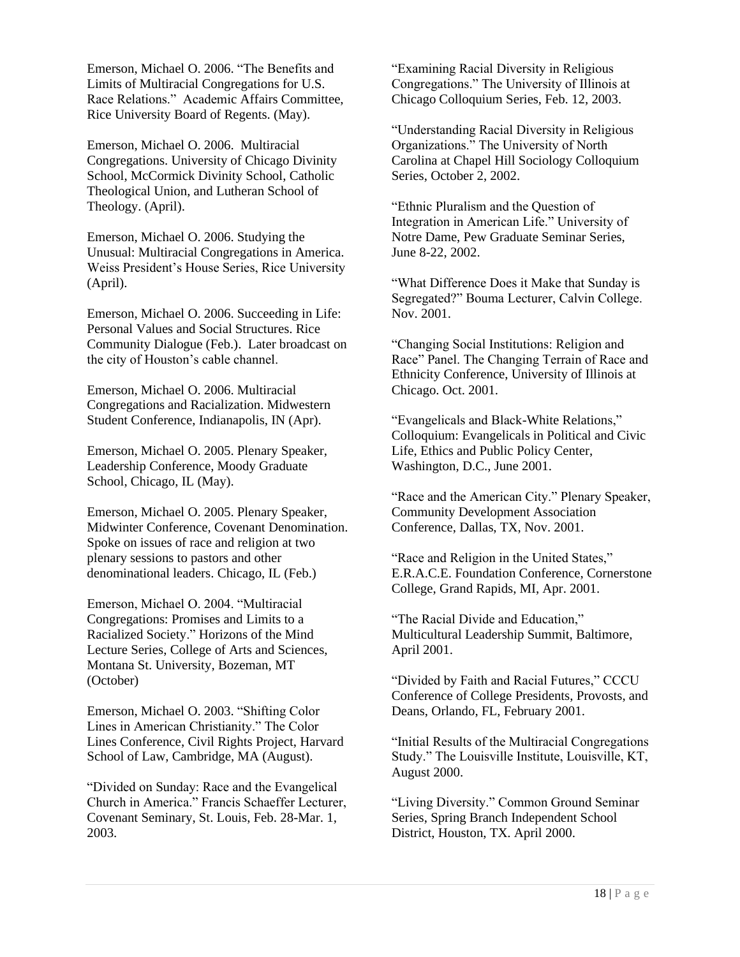Emerson, Michael O. 2006. "The Benefits and Limits of Multiracial Congregations for U.S. Race Relations." Academic Affairs Committee, Rice University Board of Regents. (May).

Emerson, Michael O. 2006. Multiracial Congregations. University of Chicago Divinity School, McCormick Divinity School, Catholic Theological Union, and Lutheran School of Theology. (April).

Emerson, Michael O. 2006. Studying the Unusual: Multiracial Congregations in America. Weiss President's House Series, Rice University (April).

Emerson, Michael O. 2006. Succeeding in Life: Personal Values and Social Structures. Rice Community Dialogue (Feb.). Later broadcast on the city of Houston's cable channel.

Emerson, Michael O. 2006. Multiracial Congregations and Racialization. Midwestern Student Conference, Indianapolis, IN (Apr).

Emerson, Michael O. 2005. Plenary Speaker, Leadership Conference, Moody Graduate School, Chicago, IL (May).

Emerson, Michael O. 2005. Plenary Speaker, Midwinter Conference, Covenant Denomination. Spoke on issues of race and religion at two plenary sessions to pastors and other denominational leaders. Chicago, IL (Feb.)

Emerson, Michael O. 2004. "Multiracial Congregations: Promises and Limits to a Racialized Society." Horizons of the Mind Lecture Series, College of Arts and Sciences, Montana St. University, Bozeman, MT (October)

Emerson, Michael O. 2003. "Shifting Color Lines in American Christianity." The Color Lines Conference, Civil Rights Project, Harvard School of Law, Cambridge, MA (August).

"Divided on Sunday: Race and the Evangelical Church in America." Francis Schaeffer Lecturer, Covenant Seminary, St. Louis, Feb. 28-Mar. 1, 2003.

"Examining Racial Diversity in Religious Congregations." The University of Illinois at Chicago Colloquium Series, Feb. 12, 2003.

"Understanding Racial Diversity in Religious Organizations." The University of North Carolina at Chapel Hill Sociology Colloquium Series, October 2, 2002.

"Ethnic Pluralism and the Question of Integration in American Life." University of Notre Dame, Pew Graduate Seminar Series, June 8-22, 2002.

"What Difference Does it Make that Sunday is Segregated?" Bouma Lecturer, Calvin College. Nov. 2001.

"Changing Social Institutions: Religion and Race" Panel. The Changing Terrain of Race and Ethnicity Conference, University of Illinois at Chicago. Oct. 2001.

"Evangelicals and Black-White Relations," Colloquium: Evangelicals in Political and Civic Life, Ethics and Public Policy Center, Washington, D.C., June 2001.

"Race and the American City." Plenary Speaker, Community Development Association Conference, Dallas, TX, Nov. 2001.

"Race and Religion in the United States," E.R.A.C.E. Foundation Conference, Cornerstone College, Grand Rapids, MI, Apr. 2001.

"The Racial Divide and Education," Multicultural Leadership Summit, Baltimore, April 2001.

"Divided by Faith and Racial Futures," CCCU Conference of College Presidents, Provosts, and Deans, Orlando, FL, February 2001.

"Initial Results of the Multiracial Congregations Study." The Louisville Institute, Louisville, KT, August 2000.

"Living Diversity." Common Ground Seminar Series, Spring Branch Independent School District, Houston, TX. April 2000.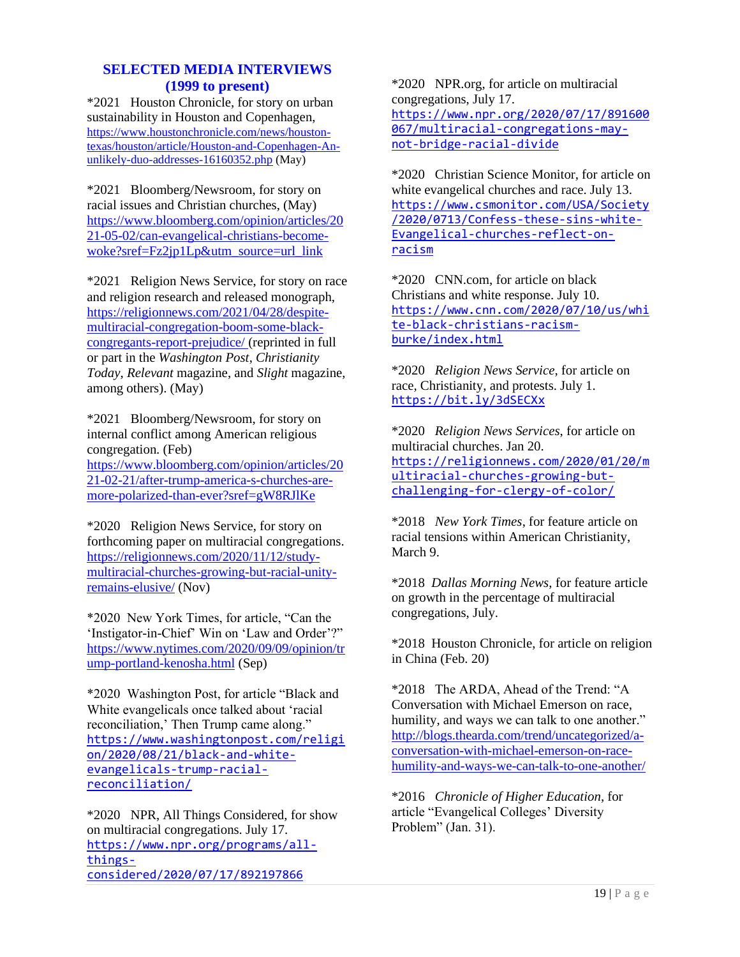# **SELECTED MEDIA INTERVIEWS (1999 to present)**

\*2021 Houston Chronicle, for story on urban sustainability in Houston and Copenhagen, [https://www.houstonchronicle.com/news/houston](https://www.houstonchronicle.com/news/houston-texas/houston/article/Houston-and-Copenhagen-An-unlikely-duo-addresses-16160352.php)[texas/houston/article/Houston-and-Copenhagen-An](https://www.houstonchronicle.com/news/houston-texas/houston/article/Houston-and-Copenhagen-An-unlikely-duo-addresses-16160352.php)[unlikely-duo-addresses-16160352.php](https://www.houstonchronicle.com/news/houston-texas/houston/article/Houston-and-Copenhagen-An-unlikely-duo-addresses-16160352.php) (May)

\*2021 Bloomberg/Newsroom, for story on racial issues and Christian churches, (May) [https://www.bloomberg.com/opinion/articles/20](https://www.bloomberg.com/opinion/articles/2021-05-02/can-evangelical-christians-become-woke?sref=Fz2jp1Lp&utm_source=url_link) [21-05-02/can-evangelical-christians-become](https://www.bloomberg.com/opinion/articles/2021-05-02/can-evangelical-christians-become-woke?sref=Fz2jp1Lp&utm_source=url_link)[woke?sref=Fz2jp1Lp&utm\\_source=url\\_link](https://www.bloomberg.com/opinion/articles/2021-05-02/can-evangelical-christians-become-woke?sref=Fz2jp1Lp&utm_source=url_link)

\*2021 Religion News Service, for story on race and religion research and released monograph, [https://religionnews.com/2021/04/28/despite](https://religionnews.com/2021/04/28/despite-multiracial-congregation-boom-some-black-congregants-report-prejudice/)[multiracial-congregation-boom-some-black](https://religionnews.com/2021/04/28/despite-multiracial-congregation-boom-some-black-congregants-report-prejudice/)[congregants-report-prejudice/](https://religionnews.com/2021/04/28/despite-multiracial-congregation-boom-some-black-congregants-report-prejudice/) (reprinted in full or part in the *Washington Post*, *Christianity Today*, *Relevant* magazine, and *Slight* magazine, among others). (May)

\*2021 Bloomberg/Newsroom, for story on internal conflict among American religious congregation. (Feb)

[https://www.bloomberg.com/opinion/articles/20](https://www.bloomberg.com/opinion/articles/2021-02-21/after-trump-america-s-churches-are-more-polarized-than-ever?sref=gW8RJlKe) [21-02-21/after-trump-america-s-churches-are](https://www.bloomberg.com/opinion/articles/2021-02-21/after-trump-america-s-churches-are-more-polarized-than-ever?sref=gW8RJlKe)[more-polarized-than-ever?sref=gW8RJlKe](https://www.bloomberg.com/opinion/articles/2021-02-21/after-trump-america-s-churches-are-more-polarized-than-ever?sref=gW8RJlKe)

\*2020 Religion News Service, for story on forthcoming paper on multiracial congregations. [https://religionnews.com/2020/11/12/study](https://religionnews.com/2020/11/12/study-multiracial-churches-growing-but-racial-unity-remains-elusive/)[multiracial-churches-growing-but-racial-unity](https://religionnews.com/2020/11/12/study-multiracial-churches-growing-but-racial-unity-remains-elusive/)[remains-elusive/](https://religionnews.com/2020/11/12/study-multiracial-churches-growing-but-racial-unity-remains-elusive/) (Nov)

\*2020 New York Times, for article, "Can the 'Instigator-in-Chief' Win on 'Law and Order'?" [https://www.nytimes.com/2020/09/09/opinion/tr](https://www.nytimes.com/2020/09/09/opinion/trump-portland-kenosha.html) [ump-portland-kenosha.html](https://www.nytimes.com/2020/09/09/opinion/trump-portland-kenosha.html) (Sep)

\*2020 Washington Post, for article "Black and White evangelicals once talked about 'racial reconciliation,' Then Trump came along." [https://www.washingtonpost.com/religi](https://www.washingtonpost.com/religion/2020/08/21/black-and-white-evangelicals-trump-racial-reconciliation/) [on/2020/08/21/black-and-white](https://www.washingtonpost.com/religion/2020/08/21/black-and-white-evangelicals-trump-racial-reconciliation/)[evangelicals-trump-racial](https://www.washingtonpost.com/religion/2020/08/21/black-and-white-evangelicals-trump-racial-reconciliation/)[reconciliation/](https://www.washingtonpost.com/religion/2020/08/21/black-and-white-evangelicals-trump-racial-reconciliation/)

\*2020 NPR, All Things Considered, for show on multiracial congregations. July 17. [https://www.npr.org/programs/all](https://www.npr.org/programs/all-things-considered/2020/07/17/892197866)[things](https://www.npr.org/programs/all-things-considered/2020/07/17/892197866)[considered/2020/07/17/892197866](https://www.npr.org/programs/all-things-considered/2020/07/17/892197866)

\*2020 NPR.org, for article on multiracial congregations, July 17. [https://www.npr.org/2020/07/17/891600](https://www.npr.org/2020/07/17/891600067/multiracial-congregations-may-not-bridge-racial-divide) [067/multiracial-congregations-may](https://www.npr.org/2020/07/17/891600067/multiracial-congregations-may-not-bridge-racial-divide)[not-bridge-racial-divide](https://www.npr.org/2020/07/17/891600067/multiracial-congregations-may-not-bridge-racial-divide)

\*2020 Christian Science Monitor, for article on white evangelical churches and race. July 13. [https://www.csmonitor.com/USA/Society](https://www.csmonitor.com/USA/Society/2020/0713/Confess-these-sins-white-Evangelical-churches-reflect-on-racism) [/2020/0713/Confess-these-sins-white-](https://www.csmonitor.com/USA/Society/2020/0713/Confess-these-sins-white-Evangelical-churches-reflect-on-racism)[Evangelical-churches-reflect-on](https://www.csmonitor.com/USA/Society/2020/0713/Confess-these-sins-white-Evangelical-churches-reflect-on-racism)[racism](https://www.csmonitor.com/USA/Society/2020/0713/Confess-these-sins-white-Evangelical-churches-reflect-on-racism)

\*2020 CNN.com, for article on black Christians and white response. July 10. [https://www.cnn.com/2020/07/10/us/whi](https://www.cnn.com/2020/07/10/us/white-black-christians-racism-burke/index.html) [te-black-christians-racism](https://www.cnn.com/2020/07/10/us/white-black-christians-racism-burke/index.html)[burke/index.html](https://www.cnn.com/2020/07/10/us/white-black-christians-racism-burke/index.html)

\*2020 *Religion News Service*, for article on race, Christianity, and protests. July 1. <https://bit.ly/3dSECXx>

\*2020 *Religion News Services*, for article on multiracial churches. Jan 20. [https://religionnews.com/2020/01/20/m](https://religionnews.com/2020/01/20/multiracial-churches-growing-but-challenging-for-clergy-of-color/) [ultiracial-churches-growing-but](https://religionnews.com/2020/01/20/multiracial-churches-growing-but-challenging-for-clergy-of-color/)[challenging-for-clergy-of-color/](https://religionnews.com/2020/01/20/multiracial-churches-growing-but-challenging-for-clergy-of-color/)

\*2018 *New York Times*, for feature article on racial tensions within American Christianity, March 9.

\*2018 *Dallas Morning News*, for feature article on growth in the percentage of multiracial congregations, July.

\*2018 Houston Chronicle, for article on religion in China (Feb. 20)

\*2018 The ARDA, Ahead of the Trend: "A Conversation with Michael Emerson on race, humility, and ways we can talk to one another." [http://blogs.thearda.com/trend/uncategorized/a](http://blogs.thearda.com/trend/uncategorized/a-conversation-with-michael-emerson-on-race-humility-and-ways-we-can-talk-to-one-another/)[conversation-with-michael-emerson-on-race](http://blogs.thearda.com/trend/uncategorized/a-conversation-with-michael-emerson-on-race-humility-and-ways-we-can-talk-to-one-another/)[humility-and-ways-we-can-talk-to-one-another/](http://blogs.thearda.com/trend/uncategorized/a-conversation-with-michael-emerson-on-race-humility-and-ways-we-can-talk-to-one-another/)

\*2016 *Chronicle of Higher Education*, for article "Evangelical Colleges' Diversity Problem" (Jan. 31).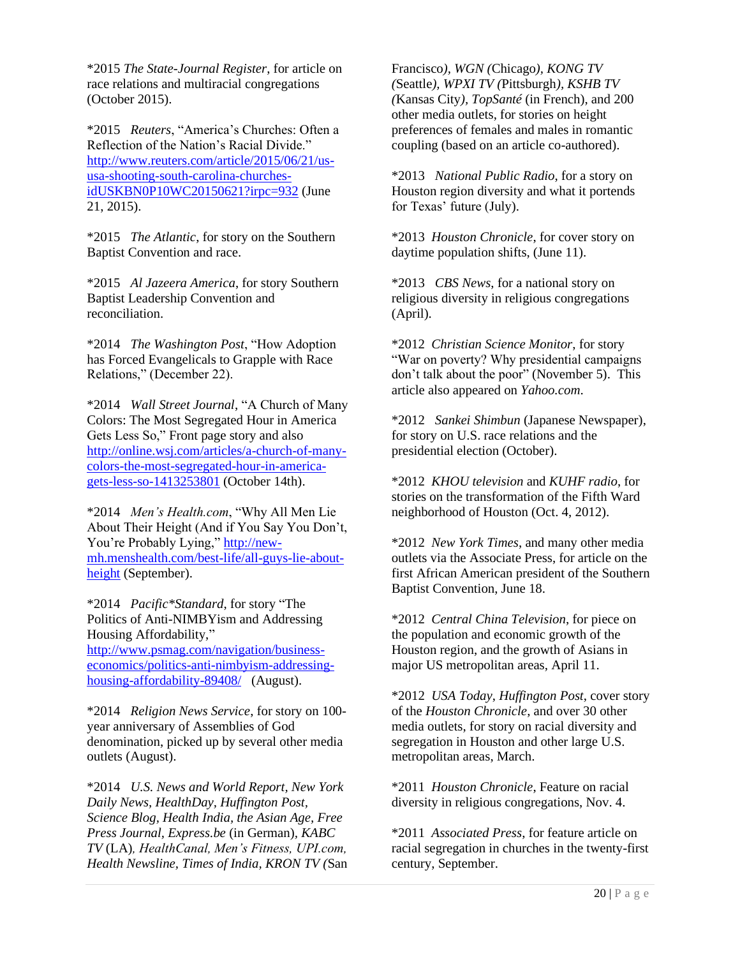\*2015 *The State-Journal Register*, for article on race relations and multiracial congregations (October 2015).

\*2015 *Reuters*, "America's Churches: Often a Reflection of the Nation's Racial Divide." [http://www.reuters.com/article/2015/06/21/us](http://www.reuters.com/article/2015/06/21/us-usa-shooting-south-carolina-churches-idUSKBN0P10WC20150621?irpc=932)[usa-shooting-south-carolina-churches](http://www.reuters.com/article/2015/06/21/us-usa-shooting-south-carolina-churches-idUSKBN0P10WC20150621?irpc=932)[idUSKBN0P10WC20150621?irpc=932](http://www.reuters.com/article/2015/06/21/us-usa-shooting-south-carolina-churches-idUSKBN0P10WC20150621?irpc=932) (June 21, 2015).

\*2015 *The Atlantic*, for story on the Southern Baptist Convention and race.

\*2015 *Al Jazeera America*, for story Southern Baptist Leadership Convention and reconciliation.

\*2014 *The Washington Post*, "How Adoption has Forced Evangelicals to Grapple with Race Relations," (December 22).

\*2014 *Wall Street Journal*, "A Church of Many Colors: The Most Segregated Hour in America Gets Less So," Front page story and also [http://online.wsj.com/articles/a-church-of-many](http://online.wsj.com/articles/a-church-of-many-colors-the-most-segregated-hour-in-america-gets-less-so-1413253801)[colors-the-most-segregated-hour-in-america](http://online.wsj.com/articles/a-church-of-many-colors-the-most-segregated-hour-in-america-gets-less-so-1413253801)[gets-less-so-1413253801](http://online.wsj.com/articles/a-church-of-many-colors-the-most-segregated-hour-in-america-gets-less-so-1413253801) (October 14th).

\*2014 *Men's Health.com*, "Why All Men Lie About Their Height (And if You Say You Don't, You're Probably Lying," [http://new](http://new-mh.menshealth.com/best-life/all-guys-lie-about-height)[mh.menshealth.com/best-life/all-guys-lie-about](http://new-mh.menshealth.com/best-life/all-guys-lie-about-height)[height](http://new-mh.menshealth.com/best-life/all-guys-lie-about-height) (September).

\*2014 *Pacific\*Standard*, for story "The Politics of Anti-NIMBYism and Addressing Housing Affordability," [http://www.psmag.com/navigation/business](http://www.psmag.com/navigation/business-economics/politics-anti-nimbyism-addressing-housing-affordability-89408/)[economics/politics-anti-nimbyism-addressing](http://www.psmag.com/navigation/business-economics/politics-anti-nimbyism-addressing-housing-affordability-89408/)[housing-affordability-89408/](http://www.psmag.com/navigation/business-economics/politics-anti-nimbyism-addressing-housing-affordability-89408/) (August).

\*2014 *Religion News Service*, for story on 100 year anniversary of Assemblies of God denomination, picked up by several other media outlets (August).

\*2014 *U.S. News and World Report, New York Daily News, HealthDay, Huffington Post, Science Blog, Health India, the Asian Age, Free Press Journal, Express.be* (in German)*, KABC TV* (LA)*, HealthCanal, Men's Fitness, UPI.com, Health Newsline, Times of India, KRON TV (*San

Francisco*), WGN (*Chicago*), KONG TV (*Seattle*), WPXI TV (*Pittsburgh*), KSHB TV (*Kansas City*), TopSanté* (in French), and 200 other media outlets, for stories on height preferences of females and males in romantic coupling (based on an article co-authored).

\*2013 *National Public Radio*, for a story on Houston region diversity and what it portends for Texas' future (July).

\*2013 *Houston Chronicle*, for cover story on daytime population shifts, (June 11).

\*2013 *CBS News*, for a national story on religious diversity in religious congregations (April).

\*2012 *Christian Science Monitor*, for story "War on poverty? Why presidential campaigns don't talk about the poor" (November 5). This article also appeared on *Yahoo.com*.

\*2012 *Sankei Shimbun* (Japanese Newspaper), for story on U.S. race relations and the presidential election (October).

\*2012 *KHOU television* and *KUHF radio*, for stories on the transformation of the Fifth Ward neighborhood of Houston (Oct. 4, 2012).

\*2012 *New York Times*, and many other media outlets via the Associate Press, for article on the first African American president of the Southern Baptist Convention, June 18.

\*2012 *Central China Television*, for piece on the population and economic growth of the Houston region, and the growth of Asians in major US metropolitan areas, April 11.

\*2012 *USA Today*, *Huffington Post*, cover story of the *Houston Chronicle*, and over 30 other media outlets, for story on racial diversity and segregation in Houston and other large U.S. metropolitan areas, March.

\*2011 *Houston Chronicle*, Feature on racial diversity in religious congregations, Nov. 4.

\*2011 *Associated Press*, for feature article on racial segregation in churches in the twenty-first century, September.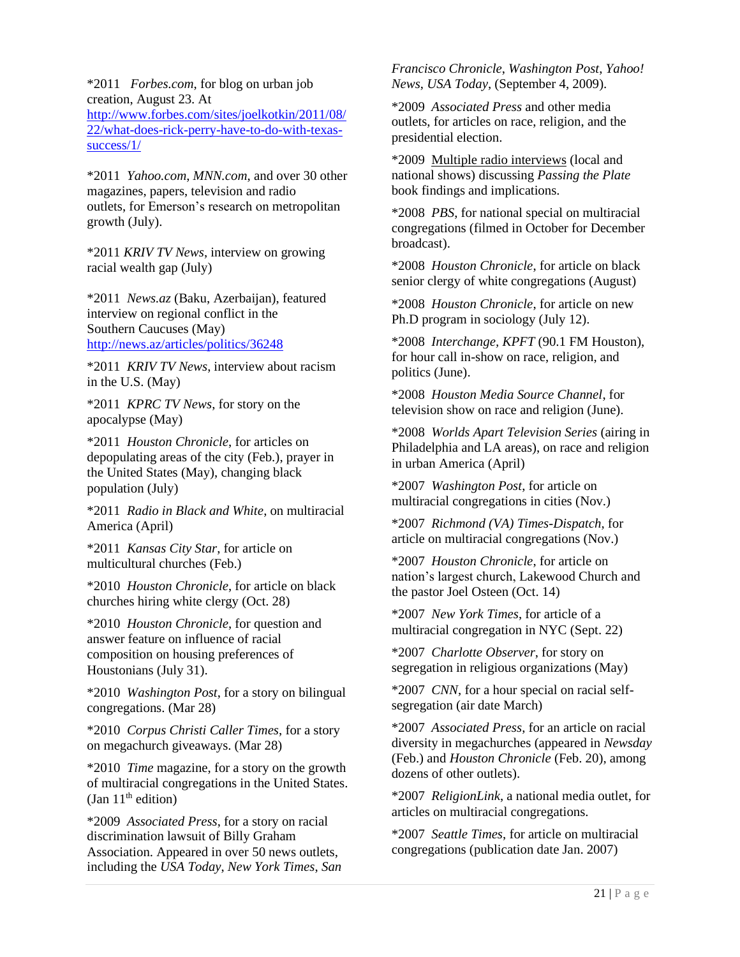\*2011 *Forbes.com*, for blog on urban job creation, August 23. At [http://www.forbes.com/sites/joelkotkin/2011/08/](http://www.forbes.com/sites/joelkotkin/2011/08/22/what-does-rick-perry-have-to-do-with-texas-success/1/) [22/what-does-rick-perry-have-to-do-with-texas](http://www.forbes.com/sites/joelkotkin/2011/08/22/what-does-rick-perry-have-to-do-with-texas-success/1/)[success/1/](http://www.forbes.com/sites/joelkotkin/2011/08/22/what-does-rick-perry-have-to-do-with-texas-success/1/)

\*2011 *Yahoo.com*, *MNN.com*, and over 30 other magazines, papers, television and radio outlets, for Emerson's research on metropolitan growth (July).

\*2011 *KRIV TV News*, interview on growing racial wealth gap (July)

\*2011 *News.az* (Baku, Azerbaijan), featured interview on regional conflict in the Southern Caucuses (May) <http://news.az/articles/politics/36248>

\*2011 *KRIV TV News*, interview about racism in the U.S. (May)

\*2011 *KPRC TV News*, for story on the apocalypse (May)

\*2011 *Houston Chronicle*, for articles on depopulating areas of the city (Feb.), prayer in the United States (May), changing black population (July)

\*2011 *Radio in Black and White*, on multiracial America (April)

\*2011 *Kansas City Star*, for article on multicultural churches (Feb.)

\*2010 *Houston Chronicle*, for article on black churches hiring white clergy (Oct. 28)

\*2010 *Houston Chronicle*, for question and answer feature on influence of racial composition on housing preferences of Houstonians (July 31).

\*2010 *Washington Post*, for a story on bilingual congregations. (Mar 28)

\*2010 *Corpus Christi Caller Times*, for a story on megachurch giveaways. (Mar 28)

\*2010 *Time* magazine, for a story on the growth of multiracial congregations in the United States. (Jan  $11<sup>th</sup>$  edition)

\*2009 *Associated Press*, for a story on racial discrimination lawsuit of Billy Graham Association. Appeared in over 50 news outlets, including the *USA Today*, *New York Times*, *San*  *Francisco Chronicle*, *Washington Post*, *Yahoo! News*, *USA Today*, (September 4, 2009).

\*2009 *Associated Press* and other media outlets, for articles on race, religion, and the presidential election.

\*2009 Multiple radio interviews (local and national shows) discussing *Passing the Plate* book findings and implications.

\*2008 *PBS*, for national special on multiracial congregations (filmed in October for December broadcast).

\*2008 *Houston Chronicle*, for article on black senior clergy of white congregations (August)

\*2008 *Houston Chronicle*, for article on new Ph.D program in sociology (July 12).

\*2008 *Interchange, KPFT* (90.1 FM Houston), for hour call in-show on race, religion, and politics (June).

\*2008 *Houston Media Source Channel*, for television show on race and religion (June).

\*2008 *Worlds Apart Television Series* (airing in Philadelphia and LA areas), on race and religion in urban America (April)

\*2007 *Washington Post*, for article on multiracial congregations in cities (Nov.)

\*2007 *Richmond (VA) Times-Dispatch*, for article on multiracial congregations (Nov.)

\*2007 *Houston Chronicle*, for article on nation's largest church, Lakewood Church and the pastor Joel Osteen (Oct. 14)

\*2007 *New York Times*, for article of a multiracial congregation in NYC (Sept. 22)

\*2007 *Charlotte Observer*, for story on segregation in religious organizations (May)

\*2007 *CNN*, for a hour special on racial selfsegregation (air date March)

\*2007 *Associated Press*, for an article on racial diversity in megachurches (appeared in *Newsday* (Feb.) and *Houston Chronicle* (Feb. 20), among dozens of other outlets).

\*2007 *ReligionLink*, a national media outlet, for articles on multiracial congregations.

\*2007 *Seattle Times*, for article on multiracial congregations (publication date Jan. 2007)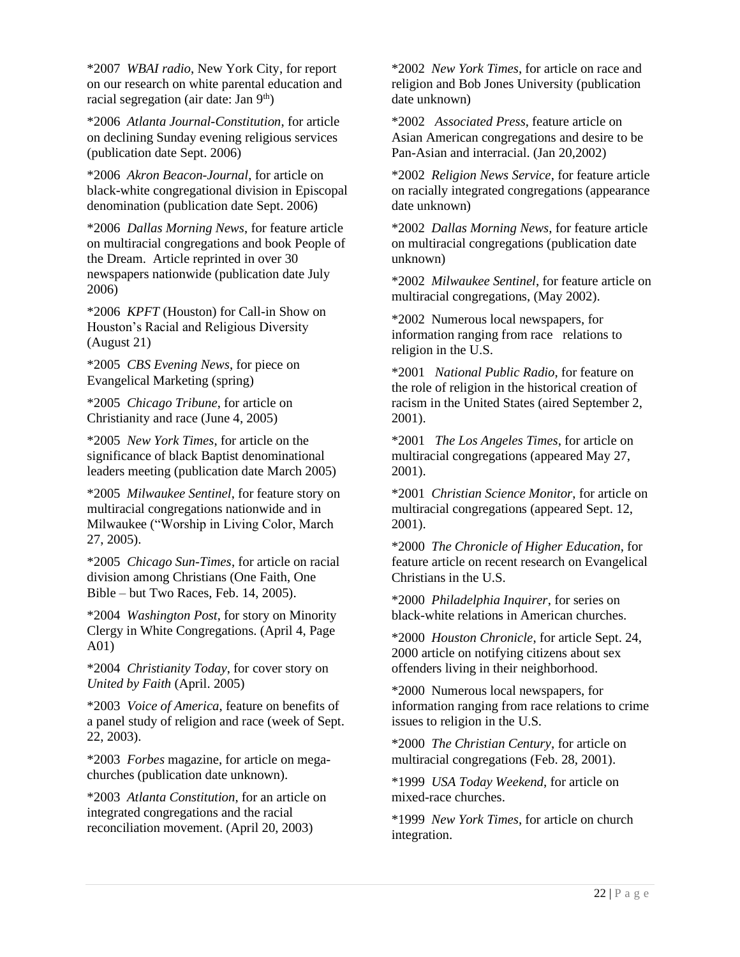\*2007 *WBAI radio*, New York City, for report on our research on white parental education and racial segregation (air date: Jan 9<sup>th</sup>)

\*2006 *Atlanta Journal-Constitution*, for article on declining Sunday evening religious services (publication date Sept. 2006)

\*2006 *Akron Beacon-Journal*, for article on black-white congregational division in Episcopal denomination (publication date Sept. 2006)

\*2006 *Dallas Morning News*, for feature article on multiracial congregations and book People of the Dream. Article reprinted in over 30 newspapers nationwide (publication date July 2006)

\*2006 *KPFT* (Houston) for Call-in Show on Houston's Racial and Religious Diversity (August 21)

\*2005 *CBS Evening News*, for piece on Evangelical Marketing (spring)

\*2005 *Chicago Tribune*, for article on Christianity and race (June 4, 2005)

\*2005 *New York Times*, for article on the significance of black Baptist denominational leaders meeting (publication date March 2005)

\*2005 *Milwaukee Sentinel*, for feature story on multiracial congregations nationwide and in Milwaukee ("Worship in Living Color, March 27, 2005).

\*2005 *Chicago Sun-Times*, for article on racial division among Christians (One Faith, One Bible – but Two Races, Feb. 14, 2005).

\*2004 *Washington Post*, for story on Minority Clergy in White Congregations. (April 4, Page A01)

\*2004 *Christianity Today*, for cover story on *United by Faith* (April. 2005)

\*2003 *Voice of America*, feature on benefits of a panel study of religion and race (week of Sept. 22, 2003).

\*2003 *Forbes* magazine, for article on megachurches (publication date unknown).

\*2003 *Atlanta Constitution*, for an article on integrated congregations and the racial reconciliation movement. (April 20, 2003)

\*2002 *New York Times*, for article on race and religion and Bob Jones University (publication date unknown)

\*2002 *Associated Press*, feature article on Asian American congregations and desire to be Pan-Asian and interracial. (Jan 20,2002)

\*2002 *Religion News Service*, for feature article on racially integrated congregations (appearance date unknown)

\*2002 *Dallas Morning News*, for feature article on multiracial congregations (publication date unknown)

\*2002 *Milwaukee Sentinel*, for feature article on multiracial congregations, (May 2002).

\*2002 Numerous local newspapers, for information ranging from race relations to religion in the U.S.

\*2001 *National Public Radio*, for feature on the role of religion in the historical creation of racism in the United States (aired September 2, 2001).

\*2001 *The Los Angeles Times*, for article on multiracial congregations (appeared May 27, 2001).

\*2001 *Christian Science Monitor*, for article on multiracial congregations (appeared Sept. 12, 2001).

\*2000 *The Chronicle of Higher Education*, for feature article on recent research on Evangelical Christians in the U.S.

\*2000 *Philadelphia Inquirer*, for series on black-white relations in American churches.

\*2000 *Houston Chronicle*, for article Sept. 24, 2000 article on notifying citizens about sex offenders living in their neighborhood.

\*2000 Numerous local newspapers, for information ranging from race relations to crime issues to religion in the U.S.

\*2000 *The Christian Century*, for article on multiracial congregations (Feb. 28, 2001).

\*1999 *USA Today Weekend*, for article on mixed-race churches.

\*1999 *New York Times*, for article on church integration.